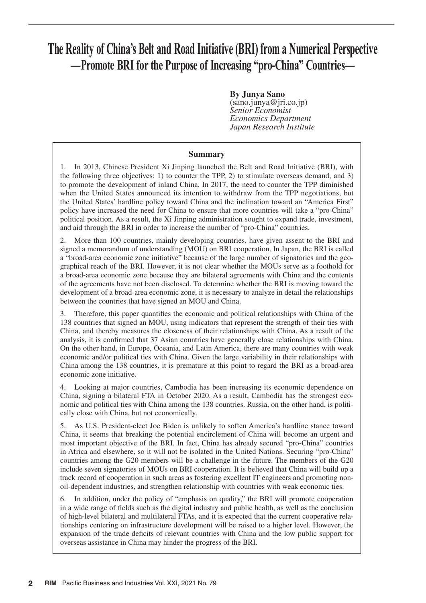# **The Reality of China's Belt and Road Initiative (BRI) from a Numerical Perspective —Promote BRI for the Purpose of Increasing "pro-China" Countries—**

**By Junya Sano** (sano.junya@jri.co.jp) *Senior Economist Economics Department Japan Research Institute*

### **Summary**

1. In 2013, Chinese President Xi Jinping launched the Belt and Road Initiative (BRI), with the following three objectives: 1) to counter the TPP, 2) to stimulate overseas demand, and 3) to promote the development of inland China. In 2017, the need to counter the TPP diminished when the United States announced its intention to withdraw from the TPP negotiations, but the United States' hardline policy toward China and the inclination toward an "America First" policy have increased the need for China to ensure that more countries will take a "pro-China" political position. As a result, the Xi Jinping administration sought to expand trade, investment, and aid through the BRI in order to increase the number of "pro-China" countries.

2. More than 100 countries, mainly developing countries, have given assent to the BRI and signed a memorandum of understanding (MOU) on BRI cooperation. In Japan, the BRI is called a "broad-area economic zone initiative" because of the large number of signatories and the geographical reach of the BRI. However, it is not clear whether the MOUs serve as a foothold for a broad-area economic zone because they are bilateral agreements with China and the contents of the agreements have not been disclosed. To determine whether the BRI is moving toward the development of a broad-area economic zone, it is necessary to analyze in detail the relationships between the countries that have signed an MOU and China.

3. Therefore, this paper quantifies the economic and political relationships with China of the 138 countries that signed an MOU, using indicators that represent the strength of their ties with China, and thereby measures the closeness of their relationships with China. As a result of the analysis, it is confirmed that 37 Asian countries have generally close relationships with China. On the other hand, in Europe, Oceania, and Latin America, there are many countries with weak economic and/or political ties with China. Given the large variability in their relationships with China among the 138 countries, it is premature at this point to regard the BRI as a broad-area economic zone initiative.

4. Looking at major countries, Cambodia has been increasing its economic dependence on China, signing a bilateral FTA in October 2020. As a result, Cambodia has the strongest economic and political ties with China among the 138 countries. Russia, on the other hand, is politically close with China, but not economically.

5. As U.S. President-elect Joe Biden is unlikely to soften America's hardline stance toward China, it seems that breaking the potential encirclement of China will become an urgent and most important objective of the BRI. In fact, China has already secured "pro-China" countries in Africa and elsewhere, so it will not be isolated in the United Nations. Securing "pro-China" countries among the G20 members will be a challenge in the future. The members of the G20 include seven signatories of MOUs on BRI cooperation. It is believed that China will build up a track record of cooperation in such areas as fostering excellent IT engineers and promoting nonoil-dependent industries, and strengthen relationship with countries with weak economic ties.

6. In addition, under the policy of "emphasis on quality," the BRI will promote cooperation in a wide range of fields such as the digital industry and public health, as well as the conclusion of high-level bilateral and multilateral FTAs, and it is expected that the current cooperative relationships centering on infrastructure development will be raised to a higher level. However, the expansion of the trade deficits of relevant countries with China and the low public support for overseas assistance in China may hinder the progress of the BRI.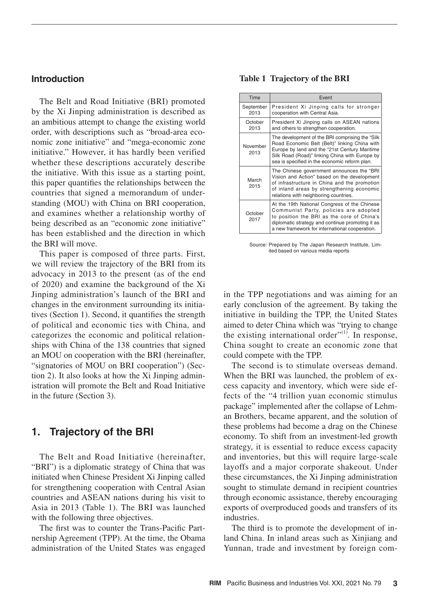## **Introduction**

The Belt and Road Initiative (BRI) promoted by the Xi Jinping administration is described as an ambitious attempt to change the existing world order, with descriptions such as "broad-area economic zone initiative" and "mega-economic zone initiative." However, it has hardly been verified whether these descriptions accurately describe the initiative. With this issue as a starting point, this paper quantifies the relationships between the countries that signed a memorandum of understanding (MOU) with China on BRI cooperation, and examines whether a relationship worthy of being described as an "economic zone initiative" has been established and the direction in which the BRI will move.

This paper is composed of three parts. First, we will review the trajectory of the BRI from its advocacy in 2013 to the present (as of the end of 2020) and examine the background of the Xi Jinping administration's launch of the BRI and changes in the environment surrounding its initiatives (Section 1). Second, it quantifies the strength of political and economic ties with China, and categorizes the economic and political relationships with China of the 138 countries that signed an MOU on cooperation with the BRI (hereinafter, "signatories of MOU on BRI cooperation") (Section 2). It also looks at how the Xi Jinping administration will promote the Belt and Road Initiative in the future (Section 3).

## **1. Trajectory of the BRI**

The Belt and Road Initiative (hereinafter, "BRI") is a diplomatic strategy of China that was initiated when Chinese President Xi Jinping called for strengthening cooperation with Central Asian countries and ASEAN nations during his visit to Asia in 2013 (Table 1). The BRI was launched with the following three objectives.

The first was to counter the Trans-Pacific Partnership Agreement (TPP). At the time, the Obama administration of the United States was engaged

#### **Table 1 Trajectory of the BRI**

| Time              | Event                                                                                                                                                                                                                                                 |
|-------------------|-------------------------------------------------------------------------------------------------------------------------------------------------------------------------------------------------------------------------------------------------------|
| September<br>2013 | President Xi Jinping calls for stronger<br>cooperation with Central Asia.                                                                                                                                                                             |
| October<br>2013   | President Xi Jinping calls on ASEAN nations<br>and others to strengthen cooperation.                                                                                                                                                                  |
| November<br>2013  | The development of the BRI comprising the "Silk"<br>Road Economic Belt (Belt)" linking China with<br>Europe by land and the "21st Century Maritime<br>Silk Road (Road)" linking China with Europe by<br>sea is specified in the economic reform plan. |
| March<br>2015     | The Chinese government announces the "BRI<br>Vision and Action" based on the development<br>of infrastructure in China and the promotion<br>of inland areas by strengthening economic<br>relations with neighboring countries.                        |
| October<br>2017   | At the 19th National Congress of the Chinese<br>Communist Party, policies are adopted<br>to position the BRI as the core of China's<br>diplomatic strategy and continue promoting it as<br>a new framework for international cooperation.             |

Source: Prepared by The Japan Research Institute, Limited based on various media reports

in the TPP negotiations and was aiming for an early conclusion of the agreement. By taking the initiative in building the TPP, the United States aimed to deter China which was "trying to change the existing international order" $(1)$ . In response, China sought to create an economic zone that could compete with the TPP.

The second is to stimulate overseas demand. When the BRI was launched, the problem of excess capacity and inventory, which were side effects of the "4 trillion yuan economic stimulus package" implemented after the collapse of Lehman Brothers, became apparent, and the solution of these problems had become a drag on the Chinese economy. To shift from an investment-led growth strategy, it is essential to reduce excess capacity and inventories, but this will require large-scale layoffs and a major corporate shakeout. Under these circumstances, the Xi Jinping administration sought to stimulate demand in recipient countries through economic assistance, thereby encouraging exports of overproduced goods and transfers of its industries.

The third is to promote the development of inland China. In inland areas such as Xinijang and Yunnan, trade and investment by foreign com-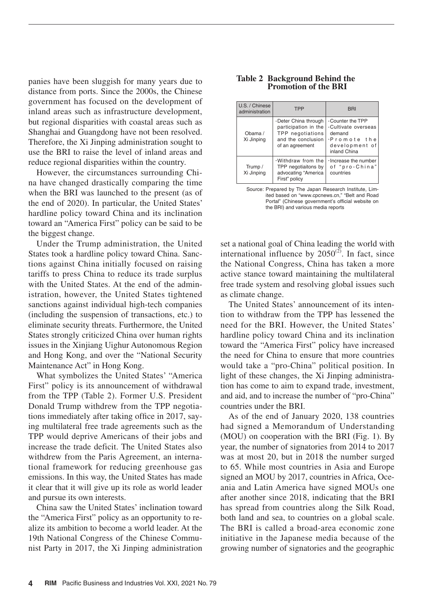panies have been sluggish for many years due to distance from ports. Since the 2000s, the Chinese government has focused on the development of inland areas such as infrastructure development, but regional disparities with coastal areas such as Shanghai and Guangdong have not been resolved. Therefore, the Xi Jinping administration sought to use the BRI to raise the level of inland areas and reduce regional disparities within the country.

However, the circumstances surrounding China have changed drastically comparing the time when the BRI was launched to the present (as of the end of 2020). In particular, the United States' hardline policy toward China and its inclination toward an "America First" policy can be said to be the biggest change.

Under the Trump administration, the United States took a hardline policy toward China. Sanctions against China initially focused on raising tariffs to press China to reduce its trade surplus with the United States. At the end of the administration, however, the United States tightened sanctions against individual high-tech companies (including the suspension of transactions, etc.) to eliminate security threats. Furthermore, the United States strongly criticized China over human rights issues in the Xinjiang Uighur Autonomous Region and Hong Kong, and over the "National Security Maintenance Act" in Hong Kong.

What symbolizes the United States' "America First" policy is its announcement of withdrawal from the TPP (Table 2). Former U.S. President Donald Trump withdrew from the TPP negotiations immediately after taking office in 2017, saying multilateral free trade agreements such as the TPP would deprive Americans of their jobs and increase the trade deficit. The United States also withdrew from the Paris Agreement, an international framework for reducing greenhouse gas emissions. In this way, the United States has made it clear that it will give up its role as world leader and pursue its own interests.

China saw the United States' inclination toward the "America First" policy as an opportunity to realize its ambition to become a world leader. At the 19th National Congress of the Chinese Communist Party in 2017, the Xi Jinping administration

#### **Table 2 Background Behind the Promotion of the BRI**

| U.S. / Chinese<br>administration | <b>TPP</b>                                                                                                | <b>BRI</b>                                                                                                        |  |  |
|----------------------------------|-----------------------------------------------------------------------------------------------------------|-------------------------------------------------------------------------------------------------------------------|--|--|
| Obama /<br>Xi Jinping            | ⋅Deter China through<br>participation in the<br>TPP negotiations<br>and the conclusion<br>of an agreement | $\cdot$ Counter the TPP<br>.Cultivate overseas<br>demand<br>$\cdot$ Promote the<br>development of<br>inland China |  |  |
| Trump /<br>Xi Jinping            | $\cdot$ Withdraw from the<br>TPP negotiaitons by<br>advocating "America<br>First" policy                  | $\cdot$ Increase the number<br>of "pro-China"<br>countries                                                        |  |  |

Source: Prepared by The Japan Research Institute, Limited based on "www.cpcnews.cn," "Belt and Road Portal" (Chinese government's official website on the BRI) and various media reports

set a national goal of China leading the world with international influence by  $2050^{\text{(2)}}$ . In fact, since the National Congress, China has taken a more active stance toward maintaining the multilateral free trade system and resolving global issues such as climate change.

The United States' announcement of its intention to withdraw from the TPP has lessened the need for the BRI. However, the United States' hardline policy toward China and its inclination toward the "America First" policy have increased the need for China to ensure that more countries would take a "pro-China" political position. In light of these changes, the Xi Jinping administration has come to aim to expand trade, investment, and aid, and to increase the number of "pro-China" countries under the BRI.

As of the end of January 2020, 138 countries had signed a Memorandum of Understanding (MOU) on cooperation with the BRI (Fig. 1). By year, the number of signatories from 2014 to 2017 was at most 20, but in 2018 the number surged to 65. While most countries in Asia and Europe signed an MOU by 2017, countries in Africa, Oceania and Latin America have signed MOUs one after another since 2018, indicating that the BRI has spread from countries along the Silk Road, both land and sea, to countries on a global scale. The BRI is called a broad-area economic zone initiative in the Japanese media because of the growing number of signatories and the geographic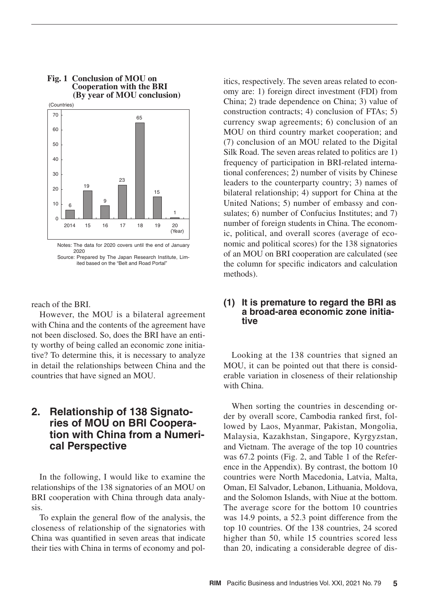

# **Fig. 1 Conclusion of MOU on Cooperation with the BRI**

2020 Source: Prepared by The Japan Research Institute, Limited based on the "Belt and Road Portal"

reach of the BRI.

However, the MOU is a bilateral agreement with China and the contents of the agreement have not been disclosed. So, does the BRI have an entity worthy of being called an economic zone initiative? To determine this, it is necessary to analyze in detail the relationships between China and the countries that have signed an MOU.

## **2. Relationship of 138 Signatories of MOU on BRI Cooperation with China from a Numerical Perspective**

In the following, I would like to examine the relationships of the 138 signatories of an MOU on BRI cooperation with China through data analysis.

To explain the general flow of the analysis, the closeness of relationship of the signatories with China was quantified in seven areas that indicate their ties with China in terms of economy and politics, respectively. The seven areas related to economy are: 1) foreign direct investment (FDI) from China; 2) trade dependence on China; 3) value of construction contracts; 4) conclusion of FTAs; 5) currency swap agreements; 6) conclusion of an MOU on third country market cooperation; and (7) conclusion of an MOU related to the Digital Silk Road. The seven areas related to politics are 1) frequency of participation in BRI-related international conferences; 2) number of visits by Chinese leaders to the counterparty country; 3) names of bilateral relationship; 4) support for China at the United Nations; 5) number of embassy and consulates; 6) number of Confucius Institutes; and 7) number of foreign students in China. The economic, political, and overall scores (average of economic and political scores) for the 138 signatories of an MOU on BRI cooperation are calculated (see the column for specific indicators and calculation methods).

## **(1) It is premature to regard the BRI as a broad-area economic zone initiative**

Looking at the 138 countries that signed an MOU, it can be pointed out that there is considerable variation in closeness of their relationship with China.

When sorting the countries in descending order by overall score, Cambodia ranked first, followed by Laos, Myanmar, Pakistan, Mongolia, Malaysia, Kazakhstan, Singapore, Kyrgyzstan, and Vietnam. The average of the top 10 countries was 67.2 points (Fig. 2, and Table 1 of the Reference in the Appendix). By contrast, the bottom 10 countries were North Macedonia, Latvia, Malta, Oman, El Salvador, Lebanon, Lithuania, Moldova, and the Solomon Islands, with Niue at the bottom. The average score for the bottom 10 countries was 14.9 points, a 52.3 point difference from the top 10 countries. Of the 138 countries, 24 scored higher than 50, while 15 countries scored less than 20, indicating a considerable degree of dis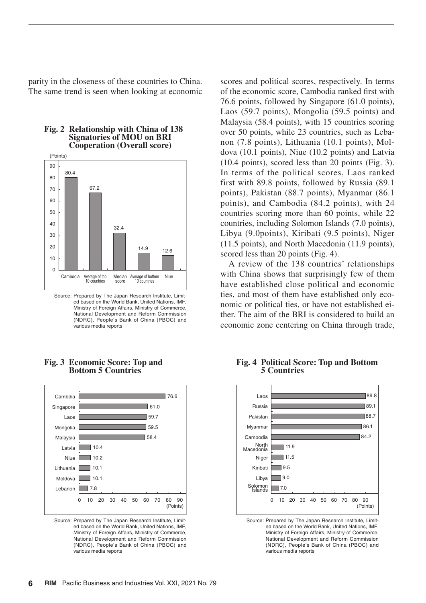parity in the closeness of these countries to China. The same trend is seen when looking at economic



#### **Fig. 2 Relationship with China of 138 Signatories of MOU on BRI Cooperation (Overall score)**

Source: Prepared by The Japan Research Institute, Limited based on the World Bank, United Nations, IMF, Ministry of Foreign Affairs, Ministry of Commerce, National Development and Reform Commission (NDRC), People's Bank of China (PBOC) and various media reports



#### **Fig. 3 Economic Score: Top and Bottom 5 Countries**

Source: Prepared by The Japan Research Institute, Limited based on the World Bank, United Nations, IMF, Ministry of Foreign Affairs, Ministry of Commerce, National Development and Reform Commission (NDRC), People's Bank of China (PBOC) and various media reports

scores and political scores, respectively. In terms of the economic score, Cambodia ranked first with 76.6 points, followed by Singapore (61.0 points), Laos (59.7 points), Mongolia (59.5 points) and Malaysia (58.4 points), with 15 countries scoring over 50 points, while 23 countries, such as Lebanon (7.8 points), Lithuania (10.1 points), Moldova (10.1 points), Niue (10.2 points) and Latvia (10.4 points), scored less than 20 points (Fig. 3). In terms of the political scores, Laos ranked first with 89.8 points, followed by Russia (89.1 points), Pakistan (88.7 points), Myanmar (86.1 points), and Cambodia (84.2 points), with 24 countries scoring more than 60 points, while 22 countries, including Solomon Islands (7.0 points), Libya (9.0points), Kiribati (9.5 points), Niger (11.5 points), and North Macedonia (11.9 points), scored less than 20 points (Fig. 4).

A review of the 138 countries' relationships with China shows that surprisingly few of them have established close political and economic ties, and most of them have established only economic or political ties, or have not established either. The aim of the BRI is considered to build an economic zone centering on China through trade,

#### **Fig. 4 Political Score: Top and Bottom 5 Countries**



Source: Prepared by The Japan Research Institute, Limited based on the World Bank, United Nations, IMF, Ministry of Foreign Affairs, Ministry of Commerce, National Development and Reform Commission (NDRC), People's Bank of China (PBOC) and various media reports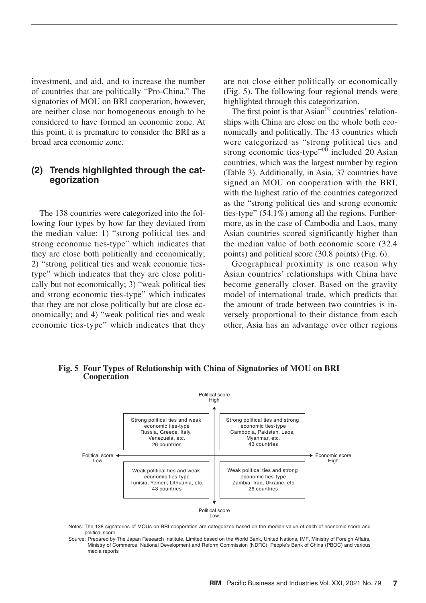investment, and aid, and to increase the number of countries that are politically "Pro-China." The signatories of MOU on BRI cooperation, however, are neither close nor homogeneous enough to be considered to have formed an economic zone. At this point, it is premature to consider the BRI as a broad area economic zone.

## **(2) Trends highlighted through the categorization**

The 138 countries were categorized into the following four types by how far they deviated from the median value: 1) "strong political ties and strong economic ties-type" which indicates that they are close both politically and economically; 2) "strong political ties and weak economic tiestype" which indicates that they are close politically but not economically; 3) "weak political ties and strong economic ties-type" which indicates that they are not close politically but are close economically; and 4) "weak political ties and weak economic ties-type" which indicates that they

are not close either politically or economically (Fig. 5). The following four regional trends were highlighted through this categorization.

The first point is that  $\text{Asian}^{(3)}$  countries' relationships with China are close on the whole both economically and politically. The 43 countries which were categorized as "strong political ties and strong economic ties-type" $^{(4)}$  included 20 Asian countries, which was the largest number by region (Table 3). Additionally, in Asia, 37 countries have signed an MOU on cooperation with the BRI, with the highest ratio of the countries categorized as the "strong political ties and strong economic ties-type" (54.1%) among all the regions. Furthermore, as in the case of Cambodia and Laos, many Asian countries scored significantly higher than the median value of both economic score (32.4 points) and political score (30.8 points) (Fig. 6).

Geographical proximity is one reason why Asian countries' relationships with China have become generally closer. Based on the gravity model of international trade, which predicts that the amount of trade between two countries is inversely proportional to their distance from each other, Asia has an advantage over other regions



**Fig. 5 Four Types of Relationship with China of Signatories of MOU on BRI Cooperation**

Notes: The 138 signatories of MOUs on BRI cooperation are categorized based on the median value of each of economic score and political score.

Source: Prepared by The Japan Research Institute, Limited based on the World Bank, United Nations, IMF, Ministry of Foreign Affairs, Ministry of Commerce, National Development and Reform Commission (NDRC), People's Bank of China (PBOC) and various media reports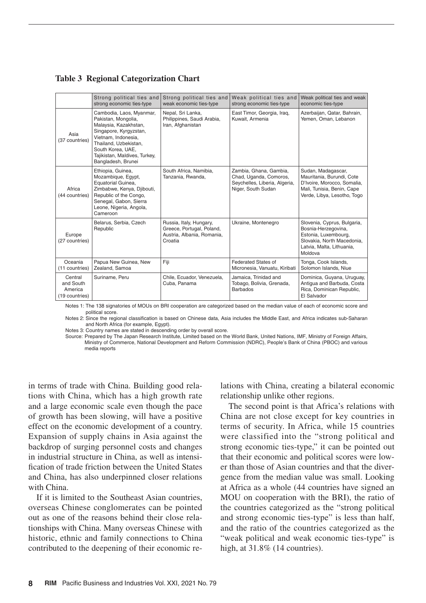**Table 3 Regional Categorization Chart**

|                                                   | Strong political ties and                                                                                                                                                                                                      | Strong political ties and                                                                     | Weak political ties and                                                                                 | Weak political ties and weak                                                                                                                     |
|---------------------------------------------------|--------------------------------------------------------------------------------------------------------------------------------------------------------------------------------------------------------------------------------|-----------------------------------------------------------------------------------------------|---------------------------------------------------------------------------------------------------------|--------------------------------------------------------------------------------------------------------------------------------------------------|
|                                                   | strong economic ties-type                                                                                                                                                                                                      | weak economic ties-type                                                                       | strong economic ties-type                                                                               | economic ties-type                                                                                                                               |
| Asia<br>(37 countries)                            | Cambodia, Laos, Myanmar,<br>Pakistan, Mongolia,<br>Malaysia, Kazakhstan,<br>Singapore, Kyrgyzstan,<br>Vietnam, Indonesia,<br>Thailand, Uzbekistan,<br>South Korea, UAE,<br>Tajikistan, Maldives, Turkey,<br>Bangladesh, Brunei | Nepal, Sri Lanka,<br>Philippines, Saudi Arabia,<br>Iran, Afghanistan                          | East Timor, Georgia, Irag,<br>Kuwait, Armenia                                                           | Azerbaijan, Qatar, Bahrain,<br>Yemen, Oman, Lebanon                                                                                              |
| Africa<br>(44 countries)                          | Ethiopia, Guinea,<br>Mozambique, Egypt,<br>Equatorial Guinea,<br>Zimbabwe, Kenya, Djibouti,<br>Republic of the Congo,<br>Senegal, Gabon, Sierra<br>Leone, Nigeria, Angola,<br>Cameroon                                         | South Africa, Namibia,<br>Tanzania, Rwanda,                                                   | Zambia, Ghana, Gambia,<br>Chad, Uganda, Comoros,<br>Seychelles, Liberia, Algeria,<br>Niger, South Sudan | Sudan, Madagascar,<br>Mauritania, Burundi, Cote<br>D'Ivoire, Morocco, Somalia,<br>Mali, Tunisia, Benin, Cape<br>Verde, Libya, Lesotho, Togo      |
| Europe<br>(27 countries)                          | Belarus, Serbia, Czech<br>Republic                                                                                                                                                                                             | Russia, Italy, Hungary,<br>Greece, Portugal, Poland,<br>Austria, Albania, Romania,<br>Croatia | Ukraine, Montenegro                                                                                     | Slovenia, Cyprus, Bulgaria,<br>Bosnia-Herzegovina,<br>Estonia, Luxembourg,<br>Slovakia, North Macedonia,<br>Latvia, Malta, Lithuania,<br>Moldova |
| Oceania<br>(11 countries)                         | Papua New Guinea, New<br>Zealand, Samoa                                                                                                                                                                                        | Fiji                                                                                          | <b>Federated States of</b><br>Micronesia, Vanuatu, Kiribati                                             | Tonga, Cook Islands,<br>Solomon Islands, Niue                                                                                                    |
| Central<br>and South<br>America<br>(19 countries) | Suriname, Peru                                                                                                                                                                                                                 | Chile, Ecuador, Venezuela,<br>Cuba, Panama                                                    | Jamaica, Trinidad and<br>Tobago, Bolivia, Grenada,<br><b>Barbados</b>                                   | Dominica, Guyana, Uruguay,<br>Antigua and Barbuda, Costa<br>Rica, Dominican Republic,<br>El Salvador                                             |

Notes 1: The 138 signatories of MOUs on BBI cooperation are categorized based on the median value of each of economic score and political score.

Notes 2: Since the regional classification is based on Chinese data, Asia includes the Middle East, and Africa indicates sub-Saharan and North Africa (for example, Egypt).

Notes 3: Country names are stated in descending order by overall score.

Source: Prepared by The Japan Research Institute, Limited based on the World Bank, United Nations, IMF, Ministry of Foreign Affairs, Ministry of Commerce, National Development and Reform Commission (NDRC), People's Bank of China (PBOC) and various media reports

in terms of trade with China. Building good relations with China, which has a high growth rate and a large economic scale even though the pace of growth has been slowing, will have a positive effect on the economic development of a country. Expansion of supply chains in Asia against the backdrop of surging personnel costs and changes in industrial structure in China, as well as intensification of trade friction between the United States and China, has also underpinned closer relations with China.

If it is limited to the Southeast Asian countries, overseas Chinese conglomerates can be pointed out as one of the reasons behind their close relationships with China. Many overseas Chinese with historic, ethnic and family connections to China contributed to the deepening of their economic relations with China, creating a bilateral economic relationship unlike other regions.

The second point is that Africa's relations with China are not close except for key countries in terms of security. In Africa, while 15 countries were classified into the "strong political and strong economic ties-type," it can be pointed out that their economic and political scores were lower than those of Asian countries and that the divergence from the median value was small. Looking at Africa as a whole (44 countries have signed an MOU on cooperation with the BRI), the ratio of the countries categorized as the "strong political and strong economic ties-type" is less than half, and the ratio of the countries categorized as the "weak political and weak economic ties-type" is high, at 31.8% (14 countries).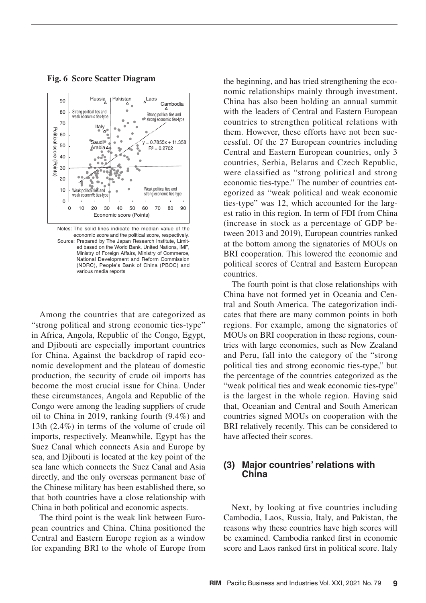

**Fig. 6 Score Scatter Diagram**

Notes: The solid lines indicate the median value of the economic score and the political score, respectively. Source: Prepared by The Japan Research Institute, Limited based on the World Bank, United Nations, IMF, Ministry of Foreign Affairs, Ministry of Commerce, National Development and Reform Commission (NDRC), People's Bank of China (PBOC) and various media reports

Among the countries that are categorized as "strong political and strong economic ties-type" in Africa, Angola, Republic of the Congo, Egypt, and Djibouti are especially important countries for China. Against the backdrop of rapid economic development and the plateau of domestic production, the security of crude oil imports has become the most crucial issue for China. Under these circumstances, Angola and Republic of the Congo were among the leading suppliers of crude oil to China in 2019, ranking fourth (9.4%) and 13th (2.4%) in terms of the volume of crude oil imports, respectively. Meanwhile, Egypt has the Suez Canal which connects Asia and Europe by sea, and Djibouti is located at the key point of the sea lane which connects the Suez Canal and Asia directly, and the only overseas permanent base of the Chinese military has been established there, so that both countries have a close relationship with China in both political and economic aspects.

The third point is the weak link between European countries and China. China positioned the Central and Eastern Europe region as a window for expanding BRI to the whole of Europe from

the beginning, and has tried strengthening the economic relationships mainly through investment. China has also been holding an annual summit with the leaders of Central and Eastern European countries to strengthen political relations with them. However, these efforts have not been successful. Of the 27 European countries including Central and Eastern European countries, only 3 countries, Serbia, Belarus and Czech Republic, were classified as "strong political and strong economic ties-type." The number of countries categorized as "weak political and weak economic ties-type" was 12, which accounted for the largest ratio in this region. In term of FDI from China (increase in stock as a percentage of GDP between 2013 and 2019), European countries ranked at the bottom among the signatories of MOUs on BRI cooperation. This lowered the economic and political scores of Central and Eastern European countries.

The fourth point is that close relationships with China have not formed yet in Oceania and Central and South America. The categorization indicates that there are many common points in both regions. For example, among the signatories of MOUs on BRI cooperation in these regions, countries with large economies, such as New Zealand and Peru, fall into the category of the "strong political ties and strong economic ties-type," but the percentage of the countries categorized as the "weak political ties and weak economic ties-type" is the largest in the whole region. Having said that, Oceanian and Central and South American countries signed MOUs on cooperation with the BRI relatively recently. This can be considered to have affected their scores.

## **(3) Major countries' relations with China**

Next, by looking at five countries including Cambodia, Laos, Russia, Italy, and Pakistan, the reasons why these countries have high scores will be examined. Cambodia ranked first in economic score and Laos ranked first in political score. Italy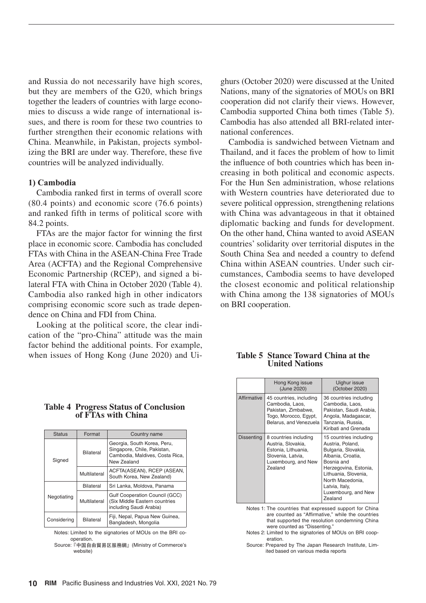and Russia do not necessarily have high scores, but they are members of the G20, which brings together the leaders of countries with large economies to discuss a wide range of international issues, and there is room for these two countries to further strengthen their economic relations with China. Meanwhile, in Pakistan, projects symbolizing the BRI are under way. Therefore, these five countries will be analyzed individually.

#### **1) Cambodia**

Cambodia ranked first in terms of overall score (80.4 points) and economic score (76.6 points) and ranked fifth in terms of political score with 84.2 points.

FTAs are the major factor for winning the first place in economic score. Cambodia has concluded FTAs with China in the ASEAN-China Free Trade Area (ACFTA) and the Regional Comprehensive Economic Partnership (RCEP), and signed a bilateral FTA with China in October 2020 (Table 4). Cambodia also ranked high in other indicators comprising economic score such as trade dependence on China and FDI from China.

Looking at the political score, the clear indication of the "pro-China" attitude was the main factor behind the additional points. For example, when issues of Hong Kong (June 2020) and Ui- **Table 5 Stance Toward China at the** 

ghurs (October 2020) were discussed at the United Nations, many of the signatories of MOUs on BRI cooperation did not clarify their views. However, Cambodia supported China both times (Table 5). Cambodia has also attended all BRI-related international conferences.

Cambodia is sandwiched between Vietnam and Thailand, and it faces the problem of how to limit the influence of both countries which has been increasing in both political and economic aspects. For the Hun Sen administration, whose relations with Western countries have deteriorated due to severe political oppression, strengthening relations with China was advantageous in that it obtained diplomatic backing and funds for development. On the other hand, China wanted to avoid ASEAN countries' solidarity over territorial disputes in the South China Sea and needed a country to defend China within ASEAN countries. Under such circumstances, Cambodia seems to have developed the closest economic and political relationship with China among the 138 signatories of MOUs on BRI cooperation.

|                   | Hong Kong issue<br>(June 2020)                                                                                                   | Uighur issue<br>(October 2020)                                                                                                                                                                                                |
|-------------------|----------------------------------------------------------------------------------------------------------------------------------|-------------------------------------------------------------------------------------------------------------------------------------------------------------------------------------------------------------------------------|
| Affirmative       | 45 countries, including<br>Cambodia, Laos,<br>Pakistan, Zimbabwe,<br>Togo, Morocco, Egypt,<br>Belarus, and Venezuela             | 36 countries including<br>Cambodia, Laos,<br>Pakistan, Saudi Arabia,<br>Angola, Madagascar,<br>Tanzania, Russia,<br>Kiribati and Grenada                                                                                      |
| <b>Dissenting</b> | 8 countries including<br>Austria, Slovakia,<br>Estonia, Lithuania,<br>Slovenia, Latvia,<br>Luxembourg, and New<br><b>Zealand</b> | 15 countries including<br>Austria, Poland,<br>Bulgaria, Slovakia,<br>Albania, Croatia,<br>Bosnia and<br>Herzegovina, Estonia,<br>Lithuania, Slovenia,<br>North Macedonia.<br>Latvia, Italy,<br>Luxembourg, and New<br>Zealand |

# **United Nations**

Notes 1: The countries that expressed support for China are counted as "Affirmative," while the countries that supported the resolution condemning China were counted as "Dissenting."

Notes 2: Limited to the signatories of MOUs on BRI cooperation.

Source: Prepared by The Japan Research Institute, Limited based on various media reports

## **Table 4 Progress Status of Conclusion of FTAs with China**

| <b>Status</b> | Format       | Country name                                                                                                 |  |
|---------------|--------------|--------------------------------------------------------------------------------------------------------------|--|
| Signed        | Bilateral    | Georgia, South Korea, Peru,<br>Singapore, Chile, Pakistan,<br>Cambodia, Maldives, Costa Rica,<br>New Zealand |  |
|               | Multilateral | ACFTA(ASEAN), RCEP (ASEAN,<br>South Korea, New Zealand)                                                      |  |
|               | Bilateral    | Sri Lanka, Moldova, Panama                                                                                   |  |
| Negotiating   | Multilateral | Gulf Cooperation Council (GCC)<br>(Six Middle Eastern countries<br>including Saudi Arabia)                   |  |
| Considering   | Bilateral    | Fiji, Nepal, Papua New Guinea,<br>Bangladesh, Mongolia                                                       |  |

Notes: Limited to the signatories of MOUs on the BRI cooperation. Source:『中国自由貿易区服務網』(Ministry of Commerce's

website)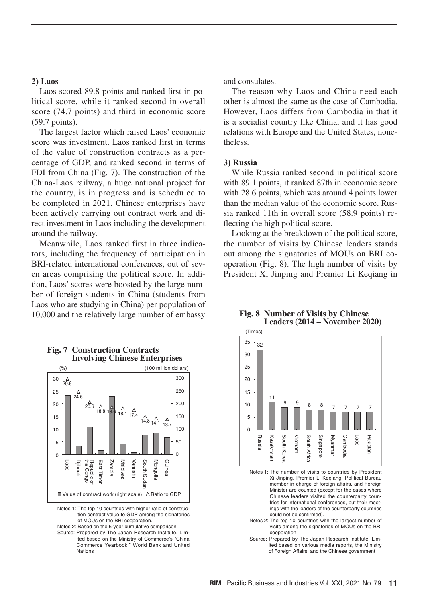#### **2) Laos**

Laos scored 89.8 points and ranked first in political score, while it ranked second in overall score (74.7 points) and third in economic score (59.7 points).

The largest factor which raised Laos' economic score was investment. Laos ranked first in terms of the value of construction contracts as a percentage of GDP, and ranked second in terms of FDI from China (Fig. 7). The construction of the China-Laos railway, a huge national project for the country, is in progress and is scheduled to be completed in 2021. Chinese enterprises have been actively carrying out contract work and direct investment in Laos including the development around the railway.

Meanwhile, Laos ranked first in three indicators, including the frequency of participation in BRI-related international conferences, out of seven areas comprising the political score. In addition, Laos' scores were boosted by the large number of foreign students in China (students from Laos who are studying in China) per population of 10,000 and the relatively large number of embassy



#### **Fig. 7 Construction Contracts Involving Chinese Enterprises**

Notes 1: The top 10 countries with higher ratio of construction contract value to GDP among the signatories of MOUs on the BRI cooperation.

Notes 2: Based on the 5-year cumulative comparison. Source: Prepared by The Japan Research Institute, Limited based on the Ministry of Commerce's "China Commerce Yearbook," World Bank and United Nations

and consulates.

The reason why Laos and China need each other is almost the same as the case of Cambodia. However, Laos differs from Cambodia in that it is a socialist country like China, and it has good relations with Europe and the United States, nonetheless.

#### **3) Russia**

While Russia ranked second in political score with 89.1 points, it ranked 87th in economic score with 28.6 points, which was around 4 points lower than the median value of the economic score. Russia ranked 11th in overall score (58.9 points) reflecting the high political score.

Looking at the breakdown of the political score, the number of visits by Chinese leaders stands out among the signatories of MOUs on BRI cooperation (Fig. 8). The high number of visits by President Xi Jinping and Premier Li Keqiang in

#### **Fig. 8 Number of Visits by Chinese Leaders (2014 – November 2020)**



Notes 1: The number of visits to countries by President Xi Jinping, Premier Li Keqiang, Political Bureau member in charge of foreign affairs, and Foreign Minister are counted (except for the cases where Chinese leaders visited the counterparty countries for international conferences, but their meetings with the leaders of the counterparty countries could not be confirmed).

- Notes 2: The top 10 countries with the largest number of visits among the signatories of MOUs on the BRI cooperation
- Source: Prepared by The Japan Research Institute, Limited based on various media reports, the Ministry of Foreign Affairs, and the Chinese government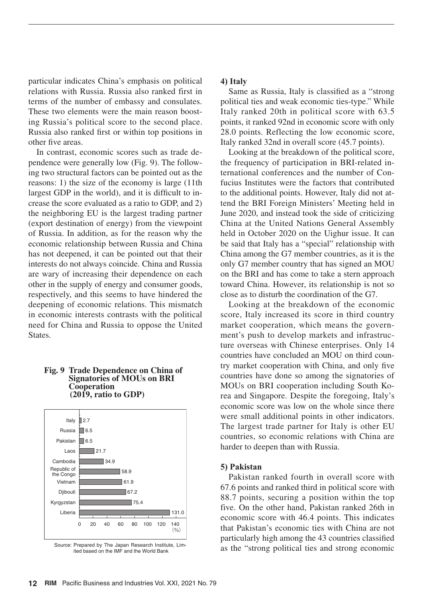particular indicates China's emphasis on political relations with Russia. Russia also ranked first in terms of the number of embassy and consulates. These two elements were the main reason boosting Russia's political score to the second place. Russia also ranked first or within top positions in other five areas.

In contrast, economic scores such as trade dependence were generally low (Fig. 9). The following two structural factors can be pointed out as the reasons: 1) the size of the economy is large (11th largest GDP in the world), and it is difficult to increase the score evaluated as a ratio to GDP, and 2) the neighboring EU is the largest trading partner (export destination of energy) from the viewpoint of Russia. In addition, as for the reason why the economic relationship between Russia and China has not deepened, it can be pointed out that their interests do not always coincide. China and Russia are wary of increasing their dependence on each other in the supply of energy and consumer goods, respectively, and this seems to have hindered the deepening of economic relations. This mismatch in economic interests contrasts with the political need for China and Russia to oppose the United States.

#### **Fig. 9 Trade Dependence on China of Signatories of MOUs on BRI Cooperation (2019, ratio to GDP)**



Source: Prepared by The Japan Research Institute, Limited based on the IMF and the World Bank

## **4) Italy**

Same as Russia, Italy is classified as a "strong political ties and weak economic ties-type." While Italy ranked 20th in political score with 63.5 points, it ranked 92nd in economic score with only 28.0 points. Reflecting the low economic score, Italy ranked 32nd in overall score (45.7 points).

Looking at the breakdown of the political score, the frequency of participation in BRI-related international conferences and the number of Confucius Institutes were the factors that contributed to the additional points. However, Italy did not attend the BRI Foreign Ministers' Meeting held in June 2020, and instead took the side of criticizing China at the United Nations General Assembly held in October 2020 on the Uighur issue. It can be said that Italy has a "special" relationship with China among the G7 member countries, as it is the only G7 member country that has signed an MOU on the BRI and has come to take a stern approach toward China. However, its relationship is not so close as to disturb the coordination of the G7.

Looking at the breakdown of the economic score, Italy increased its score in third country market cooperation, which means the government's push to develop markets and infrastructure overseas with Chinese enterprises. Only 14 countries have concluded an MOU on third country market cooperation with China, and only five countries have done so among the signatories of MOUs on BRI cooperation including South Korea and Singapore. Despite the foregoing, Italy's economic score was low on the whole since there were small additional points in other indicators. The largest trade partner for Italy is other EU countries, so economic relations with China are harder to deepen than with Russia.

#### **5) Pakistan**

Pakistan ranked fourth in overall score with 67.6 points and ranked third in political score with 88.7 points, securing a position within the top five. On the other hand, Pakistan ranked 26th in economic score with 46.4 points. This indicates that Pakistan's economic ties with China are not particularly high among the 43 countries classified as the "strong political ties and strong economic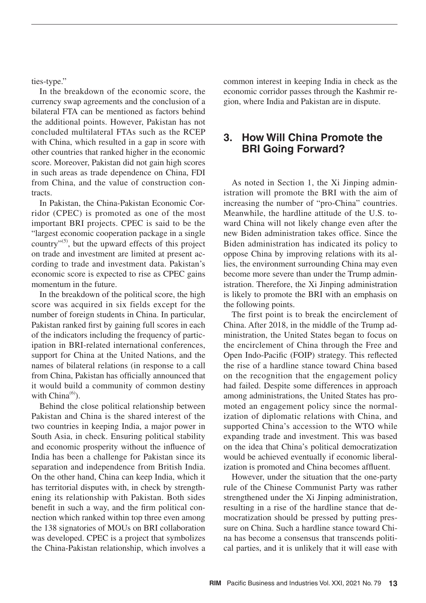ties-type."

In the breakdown of the economic score, the currency swap agreements and the conclusion of a bilateral FTA can be mentioned as factors behind the additional points. However, Pakistan has not concluded multilateral FTAs such as the RCEP with China, which resulted in a gap in score with other countries that ranked higher in the economic score. Moreover, Pakistan did not gain high scores in such areas as trade dependence on China, FDI from China, and the value of construction contracts.

In Pakistan, the China-Pakistan Economic Corridor (CPEC) is promoted as one of the most important BRI projects. CPEC is said to be the "largest economic cooperation package in a single country" $(5)$ , but the upward effects of this project on trade and investment are limited at present according to trade and investment data. Pakistan's economic score is expected to rise as CPEC gains momentum in the future.

In the breakdown of the political score, the high score was acquired in six fields except for the number of foreign students in China. In particular, Pakistan ranked first by gaining full scores in each of the indicators including the frequency of participation in BRI-related international conferences, support for China at the United Nations, and the names of bilateral relations (in response to a call from China, Pakistan has officially announced that it would build a community of common destiny with  $China<sup>(6)</sup>$ .

Behind the close political relationship between Pakistan and China is the shared interest of the two countries in keeping India, a major power in South Asia, in check. Ensuring political stability and economic prosperity without the influence of India has been a challenge for Pakistan since its separation and independence from British India. On the other hand, China can keep India, which it has territorial disputes with, in check by strengthening its relationship with Pakistan. Both sides benefit in such a way, and the firm political connection which ranked within top three even among the 138 signatories of MOUs on BRI collaboration was developed. CPEC is a project that symbolizes the China-Pakistan relationship, which involves a

common interest in keeping India in check as the economic corridor passes through the Kashmir region, where India and Pakistan are in dispute.

## **3. How Will China Promote the BRI Going Forward?**

As noted in Section 1, the Xi Jinping administration will promote the BRI with the aim of increasing the number of "pro-China" countries. Meanwhile, the hardline attitude of the U.S. toward China will not likely change even after the new Biden administration takes office. Since the Biden administration has indicated its policy to oppose China by improving relations with its allies, the environment surrounding China may even become more severe than under the Trump administration. Therefore, the Xi Jinping administration is likely to promote the BRI with an emphasis on the following points.

The first point is to break the encirclement of China. After 2018, in the middle of the Trump administration, the United States began to focus on the encirclement of China through the Free and Open Indo-Pacific (FOIP) strategy. This reflected the rise of a hardline stance toward China based on the recognition that the engagement policy had failed. Despite some differences in approach among administrations, the United States has promoted an engagement policy since the normalization of diplomatic relations with China, and supported China's accession to the WTO while expanding trade and investment. This was based on the idea that China's political democratization would be achieved eventually if economic liberalization is promoted and China becomes affluent.

However, under the situation that the one-party rule of the Chinese Communist Party was rather strengthened under the Xi Jinping administration, resulting in a rise of the hardline stance that democratization should be pressed by putting pressure on China. Such a hardline stance toward China has become a consensus that transcends political parties, and it is unlikely that it will ease with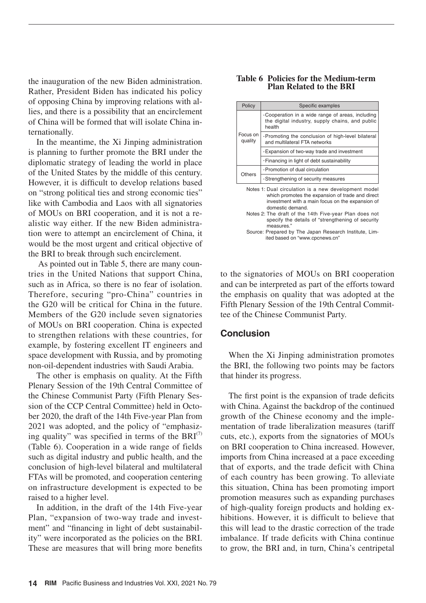the inauguration of the new Biden administration. Rather, President Biden has indicated his policy of opposing China by improving relations with allies, and there is a possibility that an encirclement of China will be formed that will isolate China internationally.

In the meantime, the Xi Jinping administration is planning to further promote the BRI under the diplomatic strategy of leading the world in place of the United States by the middle of this century. However, it is difficult to develop relations based on "strong political ties and strong economic ties" like with Cambodia and Laos with all signatories of MOUs on BRI cooperation, and it is not a realistic way either. If the new Biden administration were to attempt an encirclement of China, it would be the most urgent and critical objective of the BRI to break through such encirclement.

 As pointed out in Table 5, there are many countries in the United Nations that support China, such as in Africa, so there is no fear of isolation. Therefore, securing "pro-China" countries in the G20 will be critical for China in the future. Members of the G20 include seven signatories of MOUs on BRI cooperation. China is expected to strengthen relations with these countries, for example, by fostering excellent IT engineers and space development with Russia, and by promoting non-oil-dependent industries with Saudi Arabia.

The other is emphasis on quality. At the Fifth Plenary Session of the 19th Central Committee of the Chinese Communist Party (Fifth Plenary Session of the CCP Central Committee) held in October 2020, the draft of the 14th Five-year Plan from 2021 was adopted, and the policy of "emphasizing quality" was specified in terms of the  $BRI^{(7)}$ (Table 6). Cooperation in a wide range of fields such as digital industry and public health, and the conclusion of high-level bilateral and multilateral FTAs will be promoted, and cooperation centering on infrastructure development is expected to be raised to a higher level.

In addition, in the draft of the 14th Five-year Plan, "expansion of two-way trade and investment" and "financing in light of debt sustainability" were incorporated as the policies on the BRI. These are measures that will bring more benefits

#### **Table 6 Policies for the Medium-term Plan Related to the BRI**

| Policy                                               | Specific examples                                                                                                    |  |  |  |
|------------------------------------------------------|----------------------------------------------------------------------------------------------------------------------|--|--|--|
|                                                      | $\cdot$ Cooperation in a wide range of areas, including<br>the digital industry, supply chains, and public<br>health |  |  |  |
| Focus on<br>quality                                  | Promoting the conclusion of high-level bilateral<br>and multilateral FTA networks                                    |  |  |  |
|                                                      | Expansion of two-way trade and investment                                                                            |  |  |  |
|                                                      | · Financing in light of debt sustainability                                                                          |  |  |  |
|                                                      | $\cdot$ Promotion of dual circulation                                                                                |  |  |  |
| Others                                               | Strengthening of security measures                                                                                   |  |  |  |
| Notes 1: Dual circulation is a new development model |                                                                                                                      |  |  |  |

Notes 1: Dual circulation is a new development model which promotes the expansion of trade and direct investment with a main focus on the expansion of domestic demand.

Notes 2: The draft of the 14th Five-year Plan does not specify the details of "strengthening of security measures."

Source: Prepared by The Japan Research Institute, Limited based on "www.cpcnews.cn"

to the signatories of MOUs on BRI cooperation and can be interpreted as part of the efforts toward the emphasis on quality that was adopted at the Fifth Plenary Session of the 19th Central Committee of the Chinese Communist Party.

## **Conclusion**

When the Xi Jinping administration promotes the BRI, the following two points may be factors that hinder its progress.

The first point is the expansion of trade deficits with China. Against the backdrop of the continued growth of the Chinese economy and the implementation of trade liberalization measures (tariff cuts, etc.), exports from the signatories of MOUs on BRI cooperation to China increased. However, imports from China increased at a pace exceeding that of exports, and the trade deficit with China of each country has been growing. To alleviate this situation, China has been promoting import promotion measures such as expanding purchases of high-quality foreign products and holding exhibitions. However, it is difficult to believe that this will lead to the drastic correction of the trade imbalance. If trade deficits with China continue to grow, the BRI and, in turn, China's centripetal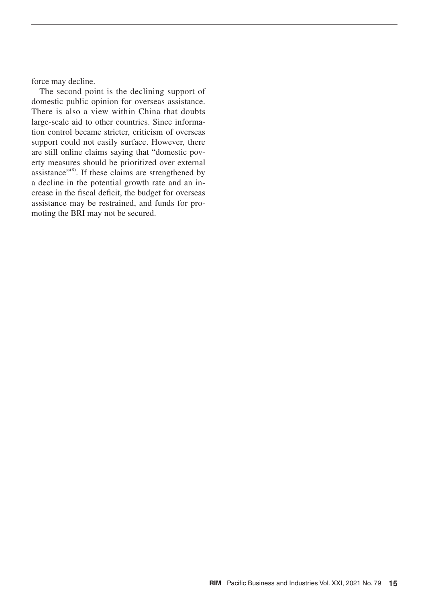force may decline.

The second point is the declining support of domestic public opinion for overseas assistance. There is also a view within China that doubts large-scale aid to other countries. Since information control became stricter, criticism of overseas support could not easily surface. However, there are still online claims saying that "domestic poverty measures should be prioritized over external assistance"<sup>(8)</sup>. If these claims are strengthened by a decline in the potential growth rate and an increase in the fiscal deficit, the budget for overseas assistance may be restrained, and funds for promoting the BRI may not be secured.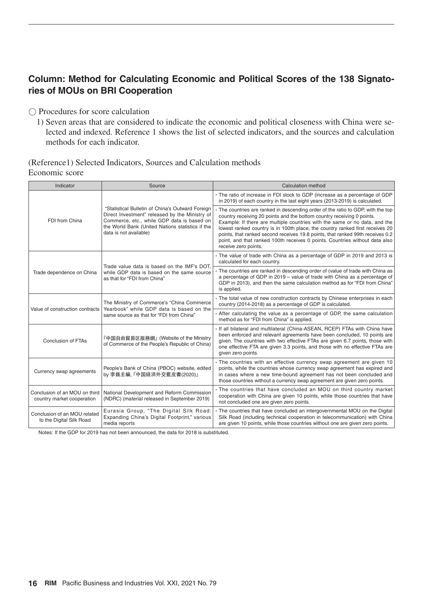# **Column: Method for Calculating Economic and Political Scores of the 138 Signatories of MOUs on BRI Cooperation**

〇 Procedures for score calculation

1) Seven areas that are considered to indicate the economic and political closeness with China were selected and indexed. Reference 1 shows the list of selected indicators, and the sources and calculation methods for each indicator.

## (Reference1) Selected Indicators, Sources and Calculation methods Economic score

| Indicator                                                   | Source                                                                                                                                                                                                                         | Calculation method                                                                                                                                                                                                                                                                                                                                                                                                                                                                                                 |
|-------------------------------------------------------------|--------------------------------------------------------------------------------------------------------------------------------------------------------------------------------------------------------------------------------|--------------------------------------------------------------------------------------------------------------------------------------------------------------------------------------------------------------------------------------------------------------------------------------------------------------------------------------------------------------------------------------------------------------------------------------------------------------------------------------------------------------------|
|                                                             |                                                                                                                                                                                                                                | • The ratio of increase in FDI stock to GDP (increase as a percentage of GDP<br>in 2019) of each country in the last eight years (2013-2019) is calculated.                                                                                                                                                                                                                                                                                                                                                        |
| FDI from China                                              | "Statistical Bulletin of China's Outward Foreign<br>Direct Investment" released by the Ministry of<br>Commerce, etc., while GDP data is based on<br>the World Bank (United Nations statistics if the<br>data is not available) | • The countries are ranked in descending order of the ratio to GDP, with the top<br>country receiving 20 points and the bottom country receiving 0 points.<br>Example: If there are multiple countries with the same or no data, and the<br>lowest ranked country is in 100th place, the country ranked first receives 20<br>points, that ranked second receives 19.8 points, that ranked 99th receives 0.2<br>point, and that ranked 100th receives 0 points. Countries without data also<br>receive zero points. |
|                                                             | Trade value data is based on the IMF's DOT.                                                                                                                                                                                    | • The value of trade with China as a percentage of GDP in 2019 and 2013 is<br>calculated for each country.                                                                                                                                                                                                                                                                                                                                                                                                         |
| Trade dependence on China                                   | while GDP data is based on the same source<br>as that for "FDI from China"                                                                                                                                                     | The countries are ranked in descending order of (value of trade with China as<br>a percentage of GDP in 2019 – value of trade with China as a percentage of<br>GDP in 2013), and then the same calculation method as for "FDI from China"<br>is applied.                                                                                                                                                                                                                                                           |
| Value of construction contracts                             | The Ministry of Commerce's "China Commerce<br>Yearbook" while GDP data is based on the                                                                                                                                         | · The total value of new construction contracts by Chinese enterprises in each<br>country (2014-2018) as a percentage of GDP is calculated.                                                                                                                                                                                                                                                                                                                                                                        |
|                                                             | same source as that for "FDI from China"                                                                                                                                                                                       | • After calculating the value as a percentage of GDP, the same calculation<br>method as for "FDI from China" is applied.                                                                                                                                                                                                                                                                                                                                                                                           |
| <b>Conclusion of FTAs</b>                                   | 『中国自由貿易区服務網』(Website of the Ministry<br>of Commerce of the People's Republic of China)                                                                                                                                         | . If all bilateral and multilateral (China-ASEAN, RCEP) FTAs with China have<br>been enforced and relevant agreements have been concluded, 10 points are<br>given. The countries with two effective FTAs are given 6.7 points, those with<br>one effective FTA are given 3.3 points, and those with no effective FTAs are<br>given zero points.                                                                                                                                                                    |
| Currency swap agreements                                    | People's Bank of China (PBOC) website, edited<br>by 李巍主編, 『中国経済外交藍皮書(2020)』                                                                                                                                                    | . The countries with an effective currency swap agreement are given 10<br>points, while the countries whose currency swap agreement has expired and<br>in cases where a new time-bound agreement has not been concluded and<br>those countries without a currency swap agreement are given zero points.                                                                                                                                                                                                            |
| Conclusion of an MOU on third<br>country market cooperation | National Development and Reform Commission<br>(NDRC) (material released in September 2019)                                                                                                                                     | . The countries that have concluded an MOU on third country market<br>cooperation with China are given 10 points, while those countries that have<br>not concluded one are given zero points.                                                                                                                                                                                                                                                                                                                      |
| Conclusion of an MOU related<br>to the Digital Silk Road    | Eurasia Group, "The Digital Silk Road:<br>Expanding China's Digital Footprint," various<br>media reports                                                                                                                       | The countries that have concluded an intergovernmental MOU on the Digital<br>Silk Road (including technical cooperation in telecommunication) with China<br>are given 10 points, while those countries without one are given zero points.                                                                                                                                                                                                                                                                          |

Notes: If the GDP for 2019 has not been announced, the data for 2018 is substituted.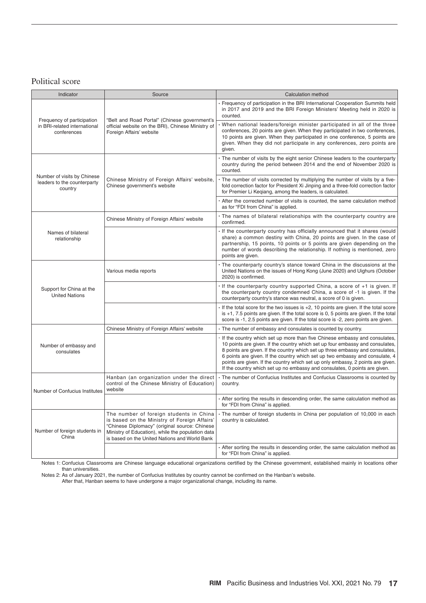#### Political score

| Indicator                                                                 | Source                                                                                                                                                                                                                                         | Calculation method                                                                                                                                                                                                                                                                                                                                                                                                                                                                            |
|---------------------------------------------------------------------------|------------------------------------------------------------------------------------------------------------------------------------------------------------------------------------------------------------------------------------------------|-----------------------------------------------------------------------------------------------------------------------------------------------------------------------------------------------------------------------------------------------------------------------------------------------------------------------------------------------------------------------------------------------------------------------------------------------------------------------------------------------|
|                                                                           |                                                                                                                                                                                                                                                | · Frequency of participation in the BRI International Cooperation Summits held<br>in 2017 and 2019 and the BRI Foreign Ministers' Meeting held in 2020 is<br>counted.                                                                                                                                                                                                                                                                                                                         |
| Frequency of participation<br>in BRI-related international<br>conferences | "Belt and Road Portal" (Chinese government's<br>official website on the BRI), Chinese Ministry of<br>Foreign Affairs' website                                                                                                                  | When national leaders/foreign minister participated in all of the three<br>conferences, 20 points are given. When they participated in two conferences,<br>10 points are given. When they participated in one conference, 5 points are<br>given. When they did not participate in any conferences, zero points are<br>given.                                                                                                                                                                  |
|                                                                           |                                                                                                                                                                                                                                                | · The number of visits by the eight senior Chinese leaders to the counterparty<br>country during the period between 2014 and the end of November 2020 is<br>counted.                                                                                                                                                                                                                                                                                                                          |
| Number of visits by Chinese<br>leaders to the counterparty<br>country     | Chinese Ministry of Foreign Affairs' website,<br>Chinese government's website                                                                                                                                                                  | The number of visits corrected by multiplying the number of visits by a five-<br>fold correction factor for President Xi Jinping and a three-fold correction factor<br>for Premier Li Keqiang, among the leaders, is calculated.                                                                                                                                                                                                                                                              |
|                                                                           |                                                                                                                                                                                                                                                | After the corrected number of visits is counted, the same calculation method<br>as for "FDI from China" is applied.                                                                                                                                                                                                                                                                                                                                                                           |
|                                                                           | Chinese Ministry of Foreign Affairs' website                                                                                                                                                                                                   | • The names of bilateral relationships with the counterparty country are<br>confirmed.                                                                                                                                                                                                                                                                                                                                                                                                        |
| Names of bilateral<br>relationship                                        |                                                                                                                                                                                                                                                | If the counterparty country has officially announced that it shares (would<br>share) a common destiny with China, 20 points are given. In the case of<br>partnership, 15 points, 10 points or 5 points are given depending on the<br>number of words describing the relationship. If nothing is mentioned, zero<br>points are given.                                                                                                                                                          |
|                                                                           | Various media reports                                                                                                                                                                                                                          | · The counterparty country's stance toward China in the discussions at the<br>United Nations on the issues of Hong Kong (June 2020) and Uighurs (October<br>2020) is confirmed.                                                                                                                                                                                                                                                                                                               |
| Support for China at the<br><b>United Nations</b>                         |                                                                                                                                                                                                                                                | If the counterparty country supported China, a score of +1 is given. If<br>the counterparty country condemned China, a score of -1 is given. If the<br>counterparty country's stance was neutral, a score of 0 is given.                                                                                                                                                                                                                                                                      |
|                                                                           |                                                                                                                                                                                                                                                | $\cdot$ If the total score for the two issues is $+2$ , 10 points are given. If the total score<br>is $+1$ , 7.5 points are given. If the total score is 0, 5 points are given. If the total<br>score is -1, 2.5 points are given. If the total score is -2, zero points are given.                                                                                                                                                                                                           |
|                                                                           | Chinese Ministry of Foreign Affairs' website                                                                                                                                                                                                   | • The number of embassy and consulates is counted by country.                                                                                                                                                                                                                                                                                                                                                                                                                                 |
| Number of embassy and<br>consulates                                       |                                                                                                                                                                                                                                                | If the country which set up more than five Chinese embassy and consulates,<br>10 points are given. If the country which set up four embassy and consulates,<br>8 points are given. If the country which set up three embassy and consulates,<br>6 points are given. If the country which set up two embassy and consulate, 4<br>points are given. If the country which set up only embassy, 2 points are given.<br>If the country which set up no embassy and consulates, 0 points are given. |
| Number of Confucius Institutes                                            | Hanban (an organization under the direct<br>control of the Chinese Ministry of Education)<br>website                                                                                                                                           | • The number of Confucius Institutes and Confucius Classrooms is counted by<br>country.                                                                                                                                                                                                                                                                                                                                                                                                       |
|                                                                           |                                                                                                                                                                                                                                                | After sorting the results in descending order, the same calculation method as<br>for "FDI from China" is applied.                                                                                                                                                                                                                                                                                                                                                                             |
| Number of foreign students in<br>China                                    | The number of foreign students in China<br>is based on the Ministry of Foreign Affairs'<br>"Chinese Diplomacy" (original source: Chinese<br>Ministry of Education), while the population data<br>is based on the United Nations and World Bank | · The number of foreign students in China per population of 10,000 in each<br>country is calculated.                                                                                                                                                                                                                                                                                                                                                                                          |
|                                                                           |                                                                                                                                                                                                                                                | After sorting the results in descending order, the same calculation method as<br>for "FDI from China" is applied.                                                                                                                                                                                                                                                                                                                                                                             |

Notes 1: Confucius Classrooms are Chinese language educational organizations certified by the Chinese government, established mainly in locations other than universities.

Notes 2: As of January 2021, the number of Confucius lnstitutes by country cannot be confirmed on the Hanban's website.

After that, Hanban seems to have undergone a major organizational change, including its name.

 $\mathcal{L}$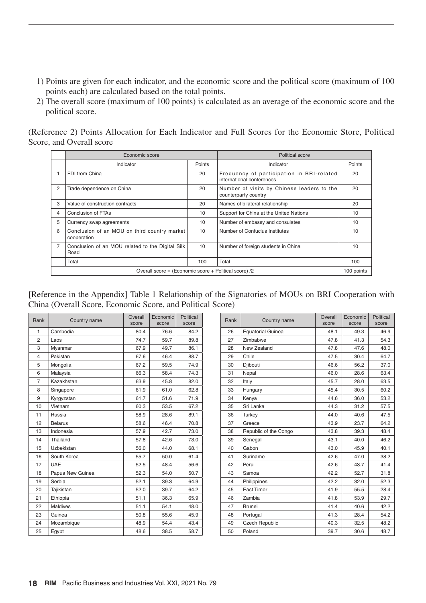- 1) Points are given for each indicator, and the economic score and the political score (maximum of 100 points each) are calculated based on the total points.
- 2) The overall score (maximum of 100 points) is calculated as an average of the economic score and the political score.

(Reference 2) Points Allocation for Each Indicator and Full Scores for the Economic Store, Political Score, and Overall score

|                                                                     | Economic score                                              | Political score |                                                                        |        |  |  |
|---------------------------------------------------------------------|-------------------------------------------------------------|-----------------|------------------------------------------------------------------------|--------|--|--|
|                                                                     | Indicator                                                   | Points          | Indicator                                                              | Points |  |  |
|                                                                     | FDI from China                                              | 20              | Frequency of participation in BRI-related<br>international conferences | 20     |  |  |
| 2                                                                   | Trade dependence on China                                   | 20              | Number of visits by Chinese leaders to the<br>counterparty country     | 20     |  |  |
| 3                                                                   | Value of construction contracts                             | 20              | Names of bilateral relationship                                        | 20     |  |  |
| 4                                                                   | Conclusion of FTAs                                          | 10              | Support for China at the United Nations                                | 10     |  |  |
| 5                                                                   | Currency swap agreements                                    | 10              | Number of embassy and consulates                                       | 10     |  |  |
| 6                                                                   | Conclusion of an MOU on third country market<br>cooperation | 10              | Number of Confucius Institutes                                         | 10     |  |  |
| $\overline{7}$                                                      | Conclusion of an MOU related to the Digital Silk<br>Road    | 10              | Number of foreign students in China                                    | 10     |  |  |
|                                                                     | Total                                                       | 100             | Total                                                                  | 100    |  |  |
| Overall score = (Economic score + Political score) /2<br>100 points |                                                             |                 |                                                                        |        |  |  |

[Reference in the Appendix] Table 1 Relationship of the Signatories of MOUs on BRI Cooperation with China (Overall Score, Economic Score, and Political Score)

| Rank                    | Country name     | Overall<br>score | Economic<br>score | Political<br>score |
|-------------------------|------------------|------------------|-------------------|--------------------|
| 1                       | Cambodia         | 80.4             | 76.6              | 84.2               |
| 2                       | Laos             | 74.7             | 59.7              | 89.8               |
| 3                       | Myanmar          | 67.9             | 49.7              | 86.1               |
| $\overline{\mathbf{4}}$ | Pakistan         | 67.6             | 46.4              | 88.7               |
| 5                       | Mongolia         | 67.2             | 59.5              | 74.9               |
| 6                       | Malaysia         | 66.3             | 58.4              | 74.3               |
| 7                       | Kazakhstan       | 63.9             | 45.8              | 82.0               |
| 8                       | Singapore        | 61.9             | 61.0              | 62.8               |
| 9                       | Kyrgyzstan       | 61.7             | 51.6              | 71.9               |
| 10                      | Vietnam          | 60.3             | 53.5              | 67.2               |
| 11                      | Russia           | 58.9             | 28.6              | 89.1               |
| 12                      | <b>Belarus</b>   | 58.6             | 46.4              | 70.8               |
| 13                      | Indonesia        | 57.9             | 42.7              | 73.0               |
| 14                      | Thailand         | 57.8             | 42.6              | 73.0               |
| 15                      | Uzbekistan       | 56.0             | 44.0              | 68.1               |
| 16                      | South Korea      | 55.7             | 50.0              | 61.4               |
| 17                      | UAE              | 52.5             | 48.4              | 56.6               |
| 18                      | Papua New Guinea | 52.3             | 54.0              | 50.7               |
| 19                      | Serbia           | 52.1             | 39.3              | 64.9               |
| 20                      | Tajikistan       | 52.0             | 39.7              | 64.2               |
| 21                      | Ethiopia         | 51.1             | 36.3              | 65.9               |
| 22                      | <b>Maldives</b>  | 51.1             | 54.1              | 48.0               |
| 23                      | Guinea           | 50.8             | 55.6              | 45.9               |
| 24                      | Mozambique       | 48.9             | 54.4              | 43.4               |
| 25                      | Egypt            | 48.6             | 38.5              | 58.7               |

| lank           | Country name     | Overall<br>score | Economic<br>score | Political<br>score | Rank | Country name             | Overall<br>score | Economic<br>score | Political<br>score |
|----------------|------------------|------------------|-------------------|--------------------|------|--------------------------|------------------|-------------------|--------------------|
| $\mathbf{1}$   | Cambodia         | 80.4             | 76.6              | 84.2               | 26   | <b>Equatorial Guinea</b> | 48.1             | 49.3              | 46.9               |
| $\overline{c}$ | Laos             | 74.7             | 59.7              | 89.8               | 27   | Zimbabwe                 | 47.8             | 41.3              | 54.3               |
| 3              | Myanmar          | 67.9             | 49.7              | 86.1               | 28   | New Zealand              | 47.8             | 47.6              | 48.0               |
| 4              | Pakistan         | 67.6             | 46.4              | 88.7               | 29   | Chile                    | 47.5             | 30.4              | 64.7               |
| 5              | Mongolia         | 67.2             | 59.5              | 74.9               | 30   | Djibouti                 | 46.6             | 56.2              | 37.0               |
| 6              | Malaysia         | 66.3             | 58.4              | 74.3               | 31   | Nepal                    | 46.0             | 28.6              | 63.4               |
| $\overline{7}$ | Kazakhstan       | 63.9             | 45.8              | 82.0               | 32   | Italy                    | 45.7             | 28.0              | 63.5               |
| 8              | Singapore        | 61.9             | 61.0              | 62.8               | 33   | Hungary                  | 45.4             | 30.5              | 60.2               |
| 9              | Kyrgyzstan       | 61.7             | 51.6              | 71.9               | 34   | Kenya                    | 44.6             | 36.0              | 53.2               |
| 10             | Vietnam          | 60.3             | 53.5              | 67.2               | 35   | Sri Lanka                | 44.3             | 31.2              | 57.5               |
| 11             | Russia           | 58.9             | 28.6              | 89.1               | 36   | Turkey                   | 44.0             | 40.6              | 47.5               |
| 12             | <b>Belarus</b>   | 58.6             | 46.4              | 70.8               | 37   | Greece                   | 43.9             | 23.7              | 64.2               |
| 13             | Indonesia        | 57.9             | 42.7              | 73.0               | 38   | Republic of the Congo    | 43.8             | 39.3              | 48.4               |
| 14             | Thailand         | 57.8             | 42.6              | 73.0               | 39   | Senegal                  | 43.1             | 40.0              | 46.2               |
| 15             | Uzbekistan       | 56.0             | 44.0              | 68.1               | 40   | Gabon                    | 43.0             | 45.9              | 40.1               |
| 16             | South Korea      | 55.7             | 50.0              | 61.4               | 41   | Suriname                 | 42.6             | 47.0              | 38.2               |
| 17             | UAE              | 52.5             | 48.4              | 56.6               | 42   | Peru                     | 42.6             | 43.7              | 41.4               |
| 18             | Papua New Guinea | 52.3             | 54.0              | 50.7               | 43   | Samoa                    | 42.2             | 52.7              | 31.8               |
| 19             | Serbia           | 52.1             | 39.3              | 64.9               | 44   | Philippines              | 42.2             | 32.0              | 52.3               |
| 20             | Tajikistan       | 52.0             | 39.7              | 64.2               | 45   | East Timor               | 41.9             | 55.5              | 28.4               |
| 21             | Ethiopia         | 51.1             | 36.3              | 65.9               | 46   | Zambia                   | 41.8             | 53.9              | 29.7               |
| 22             | <b>Maldives</b>  | 51.1             | 54.1              | 48.0               | 47   | <b>Brunei</b>            | 41.4             | 40.6              | 42.2               |
| 23             | Guinea           | 50.8             | 55.6              | 45.9               | 48   | Portugal                 | 41.3             | 28.4              | 54.2               |
| 24             | Mozambique       | 48.9             | 54.4              | 43.4               | 49   | <b>Czech Republic</b>    | 40.3             | 32.5              | 48.2               |
| 25             | Egypt            | 48.6             | 38.5              | 58.7               | 50   | Poland                   | 39.7             | 30.6              | 48.7               |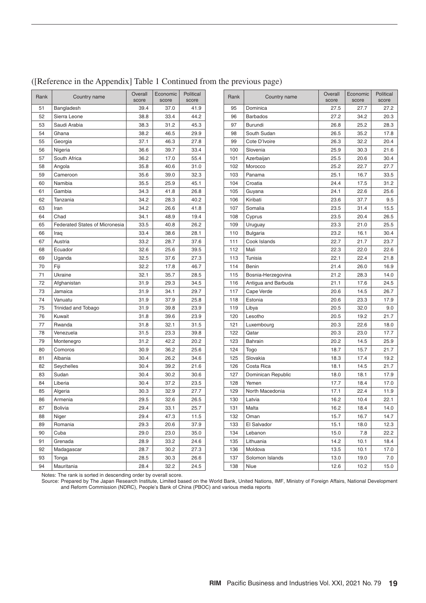| 51<br>Bangladesh<br>39.4<br>41.9<br>37.0<br>52<br>44.2<br>Sierra Leone<br>38.8<br>33.4<br>53<br>Saudi Arabia<br>38.3<br>31.2<br>45.3<br>54<br>38.2<br>46.5<br>29.9<br>Ghana<br>55<br>37.1<br>27.8<br>Georgia<br>46.3<br>56<br>Nigeria<br>39.7<br>33.4<br>36.6<br>57<br>South Africa<br>36.2<br>17.0<br>55.4<br>58<br>Angola<br>35.8<br>40.6<br>31.0<br>59<br>35.6<br>32.3<br>Cameroon<br>39.0<br>60<br>Namibia<br>35.5<br>45.1<br>25.9<br>61<br>Gambia<br>34.3<br>41.8<br>26.8<br>62<br>Tanzania<br>34.2<br>28.3<br>40.2<br>34.2<br>63<br>26.6<br>41.8<br>Iran<br>Chad<br>34.1<br>64<br>48.9<br>19.4<br>33.5<br>40.8<br>65<br><b>Federated States of Micronesia</b><br>26.2<br>66<br>33.4<br>38.6<br>28.1<br>Iraq<br>67<br>Austria<br>33.2<br>28.7<br>37.6<br>68<br>Ecuador<br>32.6<br>25.6<br>39.5<br>69<br>Uganda<br>32.5<br>37.6<br>27.3<br>70<br>Fiji<br>32.2<br>17.8<br>46.7<br>71<br>Ukraine<br>32.1<br>35.7<br>28.5<br>72<br>Afghanistan<br>31.9<br>29.3<br>34.5<br>73<br>Jamaica<br>31.9<br>34.1<br>29.7<br>74<br>Vanuatu<br>31.9<br>37.9<br>25.8<br>75<br><b>Trinidad and Tobago</b><br>31.9<br>39.8<br>23.9<br>Kuwait<br>76<br>31.8<br>39.6<br>23.9<br>77<br>Rwanda<br>31.8<br>32.1<br>31.5<br>78<br>Venezuela<br>31.5<br>23.3<br>39.8<br>79<br>31.2<br>42.2<br>20.2<br>Montenegro<br>30.9<br>36.2<br>25.6<br>80<br>Comoros<br>81<br>30.4<br>26.2<br>34.6<br>Albania<br>82<br>Seychelles<br>30.4<br>39.2<br>21.6<br>83<br>Sudan<br>30.4<br>30.2<br>30.6<br>84<br>Liberia<br>30.4<br>37.2<br>23.5<br>85<br>30.3<br>32.9<br>27.7<br>Algeria<br>86<br>Armenia<br>29.5<br>32.6<br>26.5<br>87<br>33.1<br><b>Bolivia</b><br>29.4<br>25.7<br>Niger<br>29.4<br>47.3<br>11.5<br>88<br>89<br>Romania<br>29.3<br>20.6<br>37.9<br>90<br>Cuba<br>29.0<br>23.0<br>35.0<br>91<br>Grenada<br>28.9<br>33.2<br>24.6<br>92<br>Madagascar<br>28.7<br>30.2<br>27.3<br>93<br>Tonga<br>28.5<br>30.3<br>26.6<br>94<br>Mauritania<br>28.4<br>32.2<br>24.5 | Rank | Country name | Overall<br>score | Economic<br>score | Political<br>score |
|--------------------------------------------------------------------------------------------------------------------------------------------------------------------------------------------------------------------------------------------------------------------------------------------------------------------------------------------------------------------------------------------------------------------------------------------------------------------------------------------------------------------------------------------------------------------------------------------------------------------------------------------------------------------------------------------------------------------------------------------------------------------------------------------------------------------------------------------------------------------------------------------------------------------------------------------------------------------------------------------------------------------------------------------------------------------------------------------------------------------------------------------------------------------------------------------------------------------------------------------------------------------------------------------------------------------------------------------------------------------------------------------------------------------------------------------------------------------------------------------------------------------------------------------------------------------------------------------------------------------------------------------------------------------------------------------------------------------------------------------------------------------------------------------------------------------------------------------------------------------------------------------------------------------------------------------|------|--------------|------------------|-------------------|--------------------|
|                                                                                                                                                                                                                                                                                                                                                                                                                                                                                                                                                                                                                                                                                                                                                                                                                                                                                                                                                                                                                                                                                                                                                                                                                                                                                                                                                                                                                                                                                                                                                                                                                                                                                                                                                                                                                                                                                                                                            |      |              |                  |                   |                    |
|                                                                                                                                                                                                                                                                                                                                                                                                                                                                                                                                                                                                                                                                                                                                                                                                                                                                                                                                                                                                                                                                                                                                                                                                                                                                                                                                                                                                                                                                                                                                                                                                                                                                                                                                                                                                                                                                                                                                            |      |              |                  |                   |                    |
|                                                                                                                                                                                                                                                                                                                                                                                                                                                                                                                                                                                                                                                                                                                                                                                                                                                                                                                                                                                                                                                                                                                                                                                                                                                                                                                                                                                                                                                                                                                                                                                                                                                                                                                                                                                                                                                                                                                                            |      |              |                  |                   |                    |
|                                                                                                                                                                                                                                                                                                                                                                                                                                                                                                                                                                                                                                                                                                                                                                                                                                                                                                                                                                                                                                                                                                                                                                                                                                                                                                                                                                                                                                                                                                                                                                                                                                                                                                                                                                                                                                                                                                                                            |      |              |                  |                   |                    |
|                                                                                                                                                                                                                                                                                                                                                                                                                                                                                                                                                                                                                                                                                                                                                                                                                                                                                                                                                                                                                                                                                                                                                                                                                                                                                                                                                                                                                                                                                                                                                                                                                                                                                                                                                                                                                                                                                                                                            |      |              |                  |                   |                    |
|                                                                                                                                                                                                                                                                                                                                                                                                                                                                                                                                                                                                                                                                                                                                                                                                                                                                                                                                                                                                                                                                                                                                                                                                                                                                                                                                                                                                                                                                                                                                                                                                                                                                                                                                                                                                                                                                                                                                            |      |              |                  |                   |                    |
|                                                                                                                                                                                                                                                                                                                                                                                                                                                                                                                                                                                                                                                                                                                                                                                                                                                                                                                                                                                                                                                                                                                                                                                                                                                                                                                                                                                                                                                                                                                                                                                                                                                                                                                                                                                                                                                                                                                                            |      |              |                  |                   |                    |
|                                                                                                                                                                                                                                                                                                                                                                                                                                                                                                                                                                                                                                                                                                                                                                                                                                                                                                                                                                                                                                                                                                                                                                                                                                                                                                                                                                                                                                                                                                                                                                                                                                                                                                                                                                                                                                                                                                                                            |      |              |                  |                   |                    |
|                                                                                                                                                                                                                                                                                                                                                                                                                                                                                                                                                                                                                                                                                                                                                                                                                                                                                                                                                                                                                                                                                                                                                                                                                                                                                                                                                                                                                                                                                                                                                                                                                                                                                                                                                                                                                                                                                                                                            |      |              |                  |                   |                    |
|                                                                                                                                                                                                                                                                                                                                                                                                                                                                                                                                                                                                                                                                                                                                                                                                                                                                                                                                                                                                                                                                                                                                                                                                                                                                                                                                                                                                                                                                                                                                                                                                                                                                                                                                                                                                                                                                                                                                            |      |              |                  |                   |                    |
|                                                                                                                                                                                                                                                                                                                                                                                                                                                                                                                                                                                                                                                                                                                                                                                                                                                                                                                                                                                                                                                                                                                                                                                                                                                                                                                                                                                                                                                                                                                                                                                                                                                                                                                                                                                                                                                                                                                                            |      |              |                  |                   |                    |
|                                                                                                                                                                                                                                                                                                                                                                                                                                                                                                                                                                                                                                                                                                                                                                                                                                                                                                                                                                                                                                                                                                                                                                                                                                                                                                                                                                                                                                                                                                                                                                                                                                                                                                                                                                                                                                                                                                                                            |      |              |                  |                   |                    |
|                                                                                                                                                                                                                                                                                                                                                                                                                                                                                                                                                                                                                                                                                                                                                                                                                                                                                                                                                                                                                                                                                                                                                                                                                                                                                                                                                                                                                                                                                                                                                                                                                                                                                                                                                                                                                                                                                                                                            |      |              |                  |                   |                    |
|                                                                                                                                                                                                                                                                                                                                                                                                                                                                                                                                                                                                                                                                                                                                                                                                                                                                                                                                                                                                                                                                                                                                                                                                                                                                                                                                                                                                                                                                                                                                                                                                                                                                                                                                                                                                                                                                                                                                            |      |              |                  |                   |                    |
|                                                                                                                                                                                                                                                                                                                                                                                                                                                                                                                                                                                                                                                                                                                                                                                                                                                                                                                                                                                                                                                                                                                                                                                                                                                                                                                                                                                                                                                                                                                                                                                                                                                                                                                                                                                                                                                                                                                                            |      |              |                  |                   |                    |
|                                                                                                                                                                                                                                                                                                                                                                                                                                                                                                                                                                                                                                                                                                                                                                                                                                                                                                                                                                                                                                                                                                                                                                                                                                                                                                                                                                                                                                                                                                                                                                                                                                                                                                                                                                                                                                                                                                                                            |      |              |                  |                   |                    |
|                                                                                                                                                                                                                                                                                                                                                                                                                                                                                                                                                                                                                                                                                                                                                                                                                                                                                                                                                                                                                                                                                                                                                                                                                                                                                                                                                                                                                                                                                                                                                                                                                                                                                                                                                                                                                                                                                                                                            |      |              |                  |                   |                    |
|                                                                                                                                                                                                                                                                                                                                                                                                                                                                                                                                                                                                                                                                                                                                                                                                                                                                                                                                                                                                                                                                                                                                                                                                                                                                                                                                                                                                                                                                                                                                                                                                                                                                                                                                                                                                                                                                                                                                            |      |              |                  |                   |                    |
|                                                                                                                                                                                                                                                                                                                                                                                                                                                                                                                                                                                                                                                                                                                                                                                                                                                                                                                                                                                                                                                                                                                                                                                                                                                                                                                                                                                                                                                                                                                                                                                                                                                                                                                                                                                                                                                                                                                                            |      |              |                  |                   |                    |
|                                                                                                                                                                                                                                                                                                                                                                                                                                                                                                                                                                                                                                                                                                                                                                                                                                                                                                                                                                                                                                                                                                                                                                                                                                                                                                                                                                                                                                                                                                                                                                                                                                                                                                                                                                                                                                                                                                                                            |      |              |                  |                   |                    |
|                                                                                                                                                                                                                                                                                                                                                                                                                                                                                                                                                                                                                                                                                                                                                                                                                                                                                                                                                                                                                                                                                                                                                                                                                                                                                                                                                                                                                                                                                                                                                                                                                                                                                                                                                                                                                                                                                                                                            |      |              |                  |                   |                    |
|                                                                                                                                                                                                                                                                                                                                                                                                                                                                                                                                                                                                                                                                                                                                                                                                                                                                                                                                                                                                                                                                                                                                                                                                                                                                                                                                                                                                                                                                                                                                                                                                                                                                                                                                                                                                                                                                                                                                            |      |              |                  |                   |                    |
|                                                                                                                                                                                                                                                                                                                                                                                                                                                                                                                                                                                                                                                                                                                                                                                                                                                                                                                                                                                                                                                                                                                                                                                                                                                                                                                                                                                                                                                                                                                                                                                                                                                                                                                                                                                                                                                                                                                                            |      |              |                  |                   |                    |
|                                                                                                                                                                                                                                                                                                                                                                                                                                                                                                                                                                                                                                                                                                                                                                                                                                                                                                                                                                                                                                                                                                                                                                                                                                                                                                                                                                                                                                                                                                                                                                                                                                                                                                                                                                                                                                                                                                                                            |      |              |                  |                   |                    |
|                                                                                                                                                                                                                                                                                                                                                                                                                                                                                                                                                                                                                                                                                                                                                                                                                                                                                                                                                                                                                                                                                                                                                                                                                                                                                                                                                                                                                                                                                                                                                                                                                                                                                                                                                                                                                                                                                                                                            |      |              |                  |                   |                    |
|                                                                                                                                                                                                                                                                                                                                                                                                                                                                                                                                                                                                                                                                                                                                                                                                                                                                                                                                                                                                                                                                                                                                                                                                                                                                                                                                                                                                                                                                                                                                                                                                                                                                                                                                                                                                                                                                                                                                            |      |              |                  |                   |                    |
|                                                                                                                                                                                                                                                                                                                                                                                                                                                                                                                                                                                                                                                                                                                                                                                                                                                                                                                                                                                                                                                                                                                                                                                                                                                                                                                                                                                                                                                                                                                                                                                                                                                                                                                                                                                                                                                                                                                                            |      |              |                  |                   |                    |
|                                                                                                                                                                                                                                                                                                                                                                                                                                                                                                                                                                                                                                                                                                                                                                                                                                                                                                                                                                                                                                                                                                                                                                                                                                                                                                                                                                                                                                                                                                                                                                                                                                                                                                                                                                                                                                                                                                                                            |      |              |                  |                   |                    |
|                                                                                                                                                                                                                                                                                                                                                                                                                                                                                                                                                                                                                                                                                                                                                                                                                                                                                                                                                                                                                                                                                                                                                                                                                                                                                                                                                                                                                                                                                                                                                                                                                                                                                                                                                                                                                                                                                                                                            |      |              |                  |                   |                    |
|                                                                                                                                                                                                                                                                                                                                                                                                                                                                                                                                                                                                                                                                                                                                                                                                                                                                                                                                                                                                                                                                                                                                                                                                                                                                                                                                                                                                                                                                                                                                                                                                                                                                                                                                                                                                                                                                                                                                            |      |              |                  |                   |                    |
|                                                                                                                                                                                                                                                                                                                                                                                                                                                                                                                                                                                                                                                                                                                                                                                                                                                                                                                                                                                                                                                                                                                                                                                                                                                                                                                                                                                                                                                                                                                                                                                                                                                                                                                                                                                                                                                                                                                                            |      |              |                  |                   |                    |
|                                                                                                                                                                                                                                                                                                                                                                                                                                                                                                                                                                                                                                                                                                                                                                                                                                                                                                                                                                                                                                                                                                                                                                                                                                                                                                                                                                                                                                                                                                                                                                                                                                                                                                                                                                                                                                                                                                                                            |      |              |                  |                   |                    |
|                                                                                                                                                                                                                                                                                                                                                                                                                                                                                                                                                                                                                                                                                                                                                                                                                                                                                                                                                                                                                                                                                                                                                                                                                                                                                                                                                                                                                                                                                                                                                                                                                                                                                                                                                                                                                                                                                                                                            |      |              |                  |                   |                    |
|                                                                                                                                                                                                                                                                                                                                                                                                                                                                                                                                                                                                                                                                                                                                                                                                                                                                                                                                                                                                                                                                                                                                                                                                                                                                                                                                                                                                                                                                                                                                                                                                                                                                                                                                                                                                                                                                                                                                            |      |              |                  |                   |                    |
|                                                                                                                                                                                                                                                                                                                                                                                                                                                                                                                                                                                                                                                                                                                                                                                                                                                                                                                                                                                                                                                                                                                                                                                                                                                                                                                                                                                                                                                                                                                                                                                                                                                                                                                                                                                                                                                                                                                                            |      |              |                  |                   |                    |
|                                                                                                                                                                                                                                                                                                                                                                                                                                                                                                                                                                                                                                                                                                                                                                                                                                                                                                                                                                                                                                                                                                                                                                                                                                                                                                                                                                                                                                                                                                                                                                                                                                                                                                                                                                                                                                                                                                                                            |      |              |                  |                   |                    |
|                                                                                                                                                                                                                                                                                                                                                                                                                                                                                                                                                                                                                                                                                                                                                                                                                                                                                                                                                                                                                                                                                                                                                                                                                                                                                                                                                                                                                                                                                                                                                                                                                                                                                                                                                                                                                                                                                                                                            |      |              |                  |                   |                    |
|                                                                                                                                                                                                                                                                                                                                                                                                                                                                                                                                                                                                                                                                                                                                                                                                                                                                                                                                                                                                                                                                                                                                                                                                                                                                                                                                                                                                                                                                                                                                                                                                                                                                                                                                                                                                                                                                                                                                            |      |              |                  |                   |                    |
|                                                                                                                                                                                                                                                                                                                                                                                                                                                                                                                                                                                                                                                                                                                                                                                                                                                                                                                                                                                                                                                                                                                                                                                                                                                                                                                                                                                                                                                                                                                                                                                                                                                                                                                                                                                                                                                                                                                                            |      |              |                  |                   |                    |
|                                                                                                                                                                                                                                                                                                                                                                                                                                                                                                                                                                                                                                                                                                                                                                                                                                                                                                                                                                                                                                                                                                                                                                                                                                                                                                                                                                                                                                                                                                                                                                                                                                                                                                                                                                                                                                                                                                                                            |      |              |                  |                   |                    |
|                                                                                                                                                                                                                                                                                                                                                                                                                                                                                                                                                                                                                                                                                                                                                                                                                                                                                                                                                                                                                                                                                                                                                                                                                                                                                                                                                                                                                                                                                                                                                                                                                                                                                                                                                                                                                                                                                                                                            |      |              |                  |                   |                    |
|                                                                                                                                                                                                                                                                                                                                                                                                                                                                                                                                                                                                                                                                                                                                                                                                                                                                                                                                                                                                                                                                                                                                                                                                                                                                                                                                                                                                                                                                                                                                                                                                                                                                                                                                                                                                                                                                                                                                            |      |              |                  |                   |                    |
|                                                                                                                                                                                                                                                                                                                                                                                                                                                                                                                                                                                                                                                                                                                                                                                                                                                                                                                                                                                                                                                                                                                                                                                                                                                                                                                                                                                                                                                                                                                                                                                                                                                                                                                                                                                                                                                                                                                                            |      |              |                  |                   |                    |
|                                                                                                                                                                                                                                                                                                                                                                                                                                                                                                                                                                                                                                                                                                                                                                                                                                                                                                                                                                                                                                                                                                                                                                                                                                                                                                                                                                                                                                                                                                                                                                                                                                                                                                                                                                                                                                                                                                                                            |      |              |                  |                   |                    |

#### Rank Country name Overall score Economic score Political score Bangladesh 39.4 37.0 41.9 95 Dominica 27.5 27.7 27.2 Sierra Leone 38.8 33.4 44.2 96 Barbados 27.2 34.2 20.3 Saudi Arabia 38.3 31.2 45.3 97 Burundi 26.8 25.2 28.3 Ghana 38.2 46.5 29.9 98 South Sudan 26.5 35.2 17.8 Georgia 37.1 46.3 27.8 99 Cote D'Ivoire 26.3 32.2 20.4 Nigeria 36.6 39.7 33.4 100 Slovenia 25.9 30.3 21.6 South Africa 36.2 17.0 55.4 101 Azerbaijan 25.5 20.6 30.4 Angola 35.8 40.6 31.0 102 Morocco 25.2 22.7 27.7 Cameroon 35.6 39.0 32.3 103 Panama 25.1 16.7 33.5 Namibia 35.5 25.9 45.1 104 Croatia 24.4 17.5 31.2 Gambia 34.3 41.8 26.8 105 Guyana 24.1 22.6 25.6 Tanzania 34.2 28.3 40.2 106 Kiribati 23.6 37.7 9.5 Iran 34.2 26.6 41.8 107 Somalia 23.5 31.4 15.5 Chad 34.1 48.9 19.4 108 Cyprus 23.5 20.4 26.5 65 | Federated States of Micronesia | 33.5 | 40.8 | 26.2 | | 109 | Uruguay | | | | | | | | | | | | | | | | | | 25.5 Iraq 33.4 38.6 28.1 110 Bulgaria 23.2 16.1 30.4 Austria 33.2 28.7 37.6 111 Cook Islands 22.7 21.7 23.7 Ecuador 32.6 25.6 39.5 112 Mali 22.3 22.0 22.6 Uganda 32.5 37.6 27.3 113 Tunisia 22.1 22.4 21.8 Fiji 32.2 17.8 46.7 114 Benin 21.4 26.0 16.9 115 Bosnia-Herzegovina | 21.2 28.3 14.0 116 Antigua and Barbuda 21.1 17.6 24.5 Jamaica 31.9 34.1 29.7 117 Cape Verde 20.6 14.5 26.7 Vanuatu 31.9 37.9 25.8 118 Estonia 20.6 23.3 17.9 75 |Trinidad and Tobago | 31.9 | 39.8 | 23.9 | | 119 | Libya | 20.5 | 32.0 | 9.0 Kuwait 31.8 39.6 23.9 120 Lesotho 20.5 19.2 21.7 Rwanda 31.8 32.1 31.5 121 Luxembourg 20.3 22.6 18.0 Venezuela 31.5 23.3 39.8 122 Qatar 20.3 23.0 17.7 Montenegro 31.2 42.2 20.2 123 Bahrain 20.2 14.5 25.9 Comoros 30.9 36.2 25.6 124 Togo 18.7 15.7 21.7 Albania 30.4 26.2 34.6 125 Slovakia 18.3 17.4 19.2 Seychelles 30.4 39.2 21.6 126 Costa Rica 18.1 14.5 21.7 127 Dominican Republic 18.0 18.1 17.9 Liberia 30.4 37.2 23.5 128 Yemen 17.7 18.4 17.0 129 North Macedonia 17.1 22.4 11.9 Armenia 29.5 32.6 26.5 130 Latvia 16.2 10.4 22.1 Bolivia 29.4 33.1 25.7 131 Malta 16.2 18.4 14.0 Niger 29.4 47.3 11.5 132 Oman 15.7 16.7 14.7 Romania 29.3 20.6 37.9 133 El Salvador 15.1 18.0 12.3 Cuba 29.0 23.0 35.0 134 Lebanon 15.0 7.8 22.2 Grenada 28.9 33.2 24.6 135 Lithuania 14.2 10.1 18.4 Madagascar 28.7 30.2 27.3 136 Moldova 13.5 10.1 17.0 137 Solomon Islands 13.0 19.0 7.0 Mauritania 28.4 32.2 24.5 138 Niue 12.6 10.2 15.0

#### ([Reference in the Appendix] Table 1 Continued from the previous page)

Notes: The rank is sorted in descending order by overall score.

Source: Prepared by The Japan Research Institute, Limited based on the World Bank, United Nations, IMF, Ministry of Foreign Affairs, National Development and Reform Commission (NDRC), People's Bank of China (PBOC) and various media reports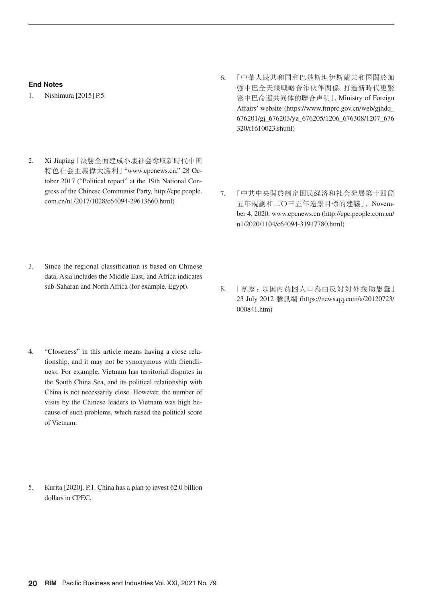#### **End Notes**

- 1. Nishimura [2015] P.5.
- 2. Xi Jinping 「決勝全面建成小康社会奪取新時代中国 特色社会主義偉大勝利」 "www.cpcnews.cn," 28 October 2017 ("Political report" at the 19th National Congress of the Chinese Communist Party, http://cpc.people. com.cn/n1/2017/1028/c64094-29613660.html)
- 6. 「中華人民共和国和巴基斯坦伊斯蘭共和国関於加 強中巴全天候戦略合作伙伴関係, 打造新時代更緊 密中巴命運共同体的聯合声明」, Ministry of Foreign Affairs' website (https://www.fmprc.gov.cn/web/gjhdq\_ 676201/gj\_676203/yz\_676205/1206\_676308/1207\_676 320/t1610023.shtml)
- 7. 「中共中央関於制定国民経済和社会発展第十四箇 五年規劃和二〇三五年遠景目標的建議」, November 4, 2020. www.cpcnews.cn (http://cpc.people.com.cn/ n1/2020/1104/c64094-31917780.html)
- 3. Since the regional classification is based on Chinese data, Asia includes the Middle East, and Africa indicates sub-Saharan and North Africa (for example, Egypt).
- 4. "Closeness" in this article means having a close relationship, and it may not be synonymous with friendliness. For example, Vietnam has territorial disputes in the South China Sea, and its political relationship with China is not necessarily close. However, the number of visits by the Chinese leaders to Vietnam was high because of such problems, which raised the political score of Vietnam.
- 5. Kurita [2020]. P.1. China has a plan to invest 62.0 billion dollars in CPEC.

8. 「専家:以国内貧困人口為由反対対外援助愚蠢」 23 July 2012 騰訊網 (https://news.qq.com/a/20120723/ 000841.htm)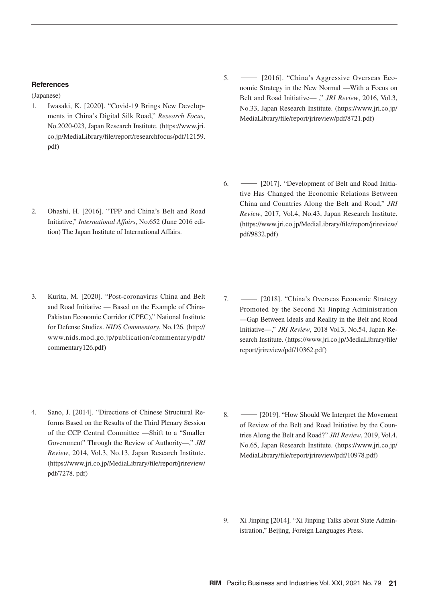#### **References**

(Japanese)

- 1. Iwasaki, K. [2020]. "Covid-19 Brings New Developments in China's Digital Silk Road," *Research Focus*, No.2020-023, Japan Research Institute. (https://www.jri. co.jp/MediaLibrary/file/report/researchfocus/pdf/12159. pdf)
- 2. Ohashi, H. [2016]. "TPP and China's Belt and Road Initiative," *International Affairs*, No.652 (June 2016 edition) The Japan Institute of International Affairs.
- 3. Kurita, M. [2020]. "Post-coronavirus China and Belt and Road Initiative — Based on the Example of China-Pakistan Economic Corridor (CPEC)," National Institute for Defense Studies. *NIDS Commentary*, No.126. (http:// www.nids.mod.go.jp/publication/commentary/pdf/ commentary126.pdf)
- 5. ― [2016]. "China's Aggressive Overseas Economic Strategy in the New Normal —With a Focus on Belt and Road Initiative— ," *JRI Review*, 2016, Vol.3, No.33, Japan Research Institute. (https://www.jri.co.jp/ MediaLibrary/file/report/jrireview/pdf/8721.pdf)
- 6. ― [2017]. "Development of Belt and Road Initiative Has Changed the Economic Relations Between China and Countries Along the Belt and Road," *JRI Review*, 2017, Vol.4, No.43, Japan Research Institute. (https://www.jri.co.jp/MediaLibrary/file/report/jrireview/ pdf/9832.pdf)
- 7. ― [2018]. "China's Overseas Economic Strategy Promoted by the Second Xi Jinping Administration —Gap Between Ideals and Reality in the Belt and Road Initiative—," *JRI Review*, 2018 Vol.3, No.54, Japan Research Institute. (https://www.jri.co.jp/MediaLibrary/file/ report/jrireview/pdf/10362.pdf)
- 4. Sano, J. [2014]. "Directions of Chinese Structural Reforms Based on the Results of the Third Plenary Session of the CCP Central Committee —Shift to a "Smaller Government" Through the Review of Authority—," *JRI Review*, 2014, Vol.3, No.13, Japan Research Institute. (https://www.jri.co.jp/MediaLibrary/file/report/jrireview/ pdf/7278. pdf)
- 8. [2019]. "How Should We Interpret the Movement" of Review of the Belt and Road Initiative by the Countries Along the Belt and Road?" *JRI Review*, 2019, Vol.4, No.65, Japan Research Institute. (https://www.jri.co.jp/ MediaLibrary/file/report/jrireview/pdf/10978.pdf)
- 9. Xi Jinping [2014]. "Xi Jinping Talks about State Administration," Beijing, Foreign Languages Press.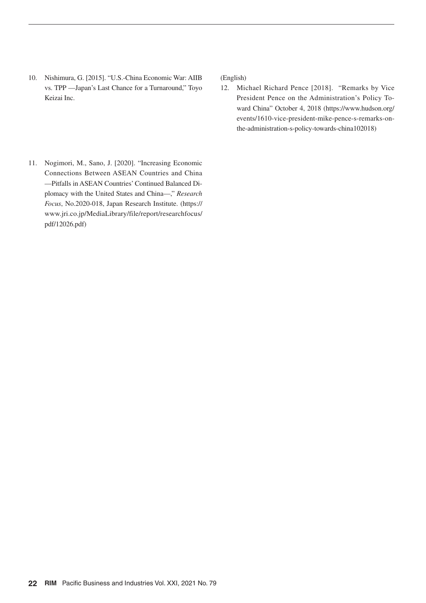10. Nishimura, G. [2015]. "U.S.-China Economic War: AIIB vs. TPP —Japan's Last Chance for a Turnaround," Toyo Keizai Inc.

(English)

- 12. Michael Richard Pence [2018]. "Remarks by Vice President Pence on the Administration's Policy Toward China" October 4, 2018 (https://www.hudson.org/ events/1610-vice-president-mike-pence-s-remarks-onthe-administration-s-policy-towards-china102018)
- 11. Nogimori, M., Sano, J. [2020]. "Increasing Economic Connections Between ASEAN Countries and China —Pitfalls in ASEAN Countries' Continued Balanced Diplomacy with the United States and China—," *Research Focus*, No.2020-018, Japan Research Institute. (https:// www.jri.co.jp/MediaLibrary/file/report/researchfocus/ pdf/12026.pdf)